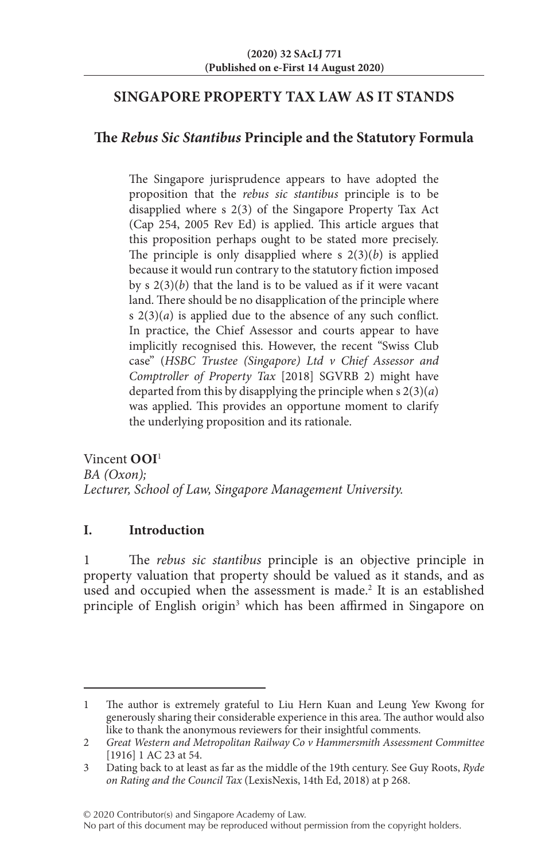# **SINGAPORE PROPERTY TAX LAW AS IT STANDS**

# **The** *Rebus Sic Stantibus* **Principle and the Statutory Formula**

The Singapore jurisprudence appears to have adopted the proposition that the *rebus sic stantibus* principle is to be disapplied where s 2(3) of the Singapore Property Tax Act (Cap 254, 2005 Rev Ed) is applied. This article argues that this proposition perhaps ought to be stated more precisely. The principle is only disapplied where  $s \ 2(3)(b)$  is applied because it would run contrary to the statutory fiction imposed by s 2(3)(*b*) that the land is to be valued as if it were vacant land. There should be no disapplication of the principle where s 2(3)(*a*) is applied due to the absence of any such conflict. In practice, the Chief Assessor and courts appear to have implicitly recognised this. However, the recent "Swiss Club case" (*HSBC Trustee (Singapore) Ltd v Chief Assessor and Comptroller of Property Tax* [2018] SGVRB 2) might have departed from this by disapplying the principle when s 2(3)(*a*) was applied. This provides an opportune moment to clarify the underlying proposition and its rationale.

Vincent **OOI**<sup>1</sup> *BA (Oxon); Lecturer, School of Law, Singapore Management University.*

# **I. Introduction**

1 The *rebus sic stantibus* principle is an objective principle in property valuation that property should be valued as it stands, and as used and occupied when the assessment is made.<sup>2</sup> It is an established principle of English origin<sup>3</sup> which has been affirmed in Singapore on

<sup>1</sup> The author is extremely grateful to Liu Hern Kuan and Leung Yew Kwong for generously sharing their considerable experience in this area. The author would also like to thank the anonymous reviewers for their insightful comments.

<sup>2</sup> *Great Western and Metropolitan Railway Co v Hammersmith Assessment Committee* [1916] 1 AC 23 at 54.

<sup>3</sup> Dating back to at least as far as the middle of the 19th century. See Guy Roots, *Ryde on Rating and the Council Tax* (LexisNexis, 14th Ed, 2018) at p 268.

No part of this document may be reproduced without permission from the copyright holders.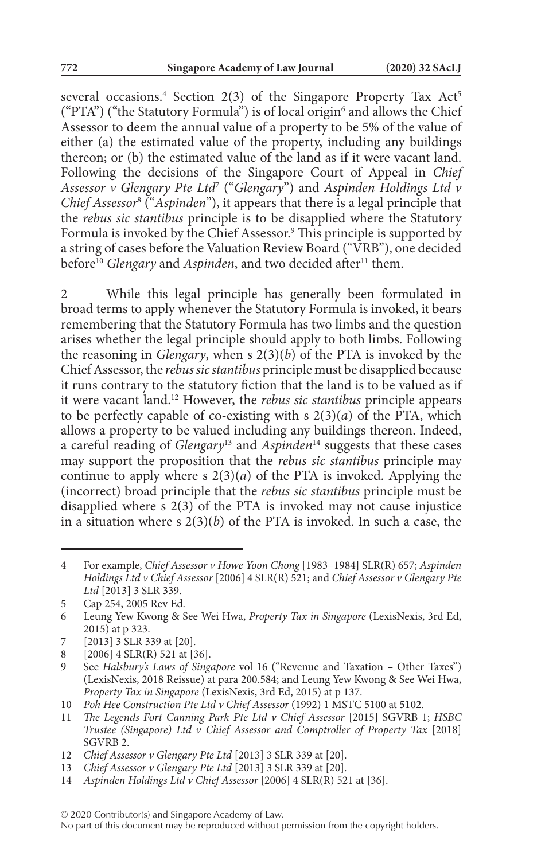several occasions.<sup>4</sup> Section 2(3) of the Singapore Property Tax Act<sup>5</sup> ("PTA") ("the Statutory Formula") is of local origin $\delta$  and allows the Chief Assessor to deem the annual value of a property to be 5% of the value of either (a) the estimated value of the property, including any buildings thereon; or (b) the estimated value of the land as if it were vacant land. Following the decisions of the Singapore Court of Appeal in *Chief Assessor v Glengary Pte Ltd*<sup>7</sup> ("*Glengary*") and *Aspinden Holdings Ltd v Chief Assessor*<sup>8</sup> ("*Aspinden*"), it appears that there is a legal principle that the *rebus sic stantibus* principle is to be disapplied where the Statutory Formula is invoked by the Chief Assessor.<sup>9</sup> This principle is supported by a string of cases before the Valuation Review Board ("VRB"), one decided before<sup>10</sup> Glengary and *Aspinden*, and two decided after<sup>11</sup> them.

2 While this legal principle has generally been formulated in broad terms to apply whenever the Statutory Formula is invoked, it bears remembering that the Statutory Formula has two limbs and the question arises whether the legal principle should apply to both limbs. Following the reasoning in *Glengary*, when s 2(3)(*b*) of the PTA is invoked by the Chief Assessor, the *rebus sic stantibus* principle must be disapplied because it runs contrary to the statutory fiction that the land is to be valued as if it were vacant land.12 However, the *rebus sic stantibus* principle appears to be perfectly capable of co-existing with  $s$   $2(3)(a)$  of the PTA, which allows a property to be valued including any buildings thereon. Indeed, a careful reading of *Glengary*13 and *Aspinden*14 suggests that these cases may support the proposition that the *rebus sic stantibus* principle may continue to apply where s  $2(3)(a)$  of the PTA is invoked. Applying the (incorrect) broad principle that the *rebus sic stantibus* principle must be disapplied where s 2(3) of the PTA is invoked may not cause injustice in a situation where s  $2(3)(b)$  of the PTA is invoked. In such a case, the

<sup>4</sup> For example, *Chief Assessor v Howe Yoon Chong* [1983–1984] SLR(R) 657; *Aspinden Holdings Ltd v Chief Assessor* [2006] 4 SLR(R) 521; and *Chief Assessor v Glengary Pte Ltd* [2013] 3 SLR 339.

<sup>5</sup> Cap 254, 2005 Rev Ed.

<sup>6</sup> Leung Yew Kwong & See Wei Hwa, *Property Tax in Singapore* (LexisNexis, 3rd Ed, 2015) at p 323.

<sup>7</sup> [2013] 3 SLR 339 at [20].

<sup>8</sup> [2006] 4 SLR(R) 521 at [36].

<sup>9</sup> See *Halsbury's Laws of Singapore* vol 16 ("Revenue and Taxation – Other Taxes") (LexisNexis, 2018 Reissue) at para 200.584; and Leung Yew Kwong & See Wei Hwa, *Property Tax in Singapore* (LexisNexis, 3rd Ed, 2015) at p 137.

<sup>10</sup> *Poh Hee Construction Pte Ltd v Chief Assessor* (1992) 1 MSTC 5100 at 5102.

<sup>11</sup> *The Legends Fort Canning Park Pte Ltd v Chief Assessor* [2015] SGVRB 1; *HSBC Trustee (Singapore) Ltd v Chief Assessor and Comptroller of Property Tax* [2018] SGVRB 2.

<sup>12</sup> *Chief Assessor v Glengary Pte Ltd* [2013] 3 SLR 339 at [20].

<sup>13</sup> *Chief Assessor v Glengary Pte Ltd* [2013] 3 SLR 339 at [20].

<sup>14</sup> *Aspinden Holdings Ltd v Chief Assessor* [2006] 4 SLR(R) 521 at [36].

No part of this document may be reproduced without permission from the copyright holders.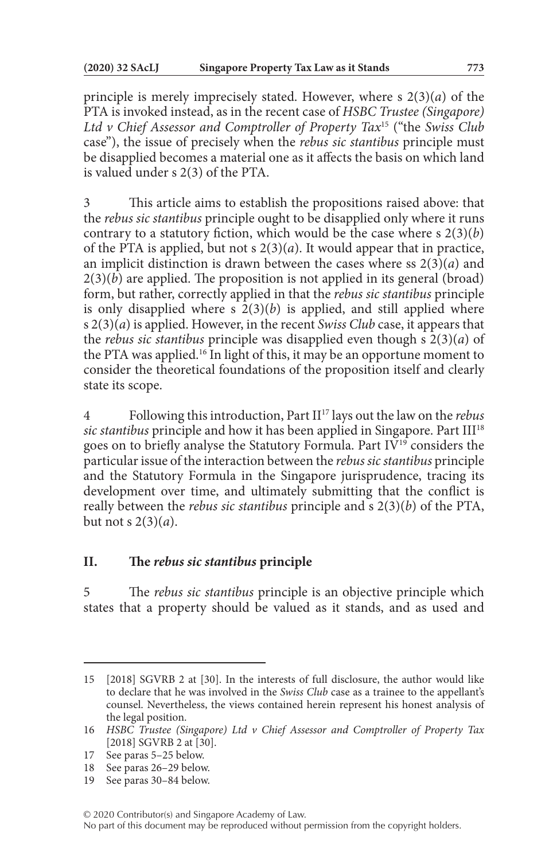principle is merely imprecisely stated. However, where s 2(3)(*a*) of the PTA is invoked instead, as in the recent case of *HSBC Trustee (Singapore) Ltd v Chief Assessor and Comptroller of Property Tax*15 ("the *Swiss Club* case"), the issue of precisely when the *rebus sic stantibus* principle must be disapplied becomes a material one as it affects the basis on which land is valued under s 2(3) of the PTA.

3 This article aims to establish the propositions raised above: that the *rebus sic stantibus* principle ought to be disapplied only where it runs contrary to a statutory fiction, which would be the case where s 2(3)(*b*) of the PTA is applied, but not s 2(3)(*a*). It would appear that in practice, an implicit distinction is drawn between the cases where ss 2(3)(*a*) and  $2(3)(b)$  are applied. The proposition is not applied in its general (broad) form, but rather, correctly applied in that the *rebus sic stantibus* principle is only disapplied where s  $2(3)(b)$  is applied, and still applied where s 2(3)(*a*) is applied. However, in the recent *Swiss Club* case, it appears that the *rebus sic stantibus* principle was disapplied even though s 2(3)(*a*) of the PTA was applied.<sup>16</sup> In light of this, it may be an opportune moment to consider the theoretical foundations of the proposition itself and clearly state its scope.

4 Following this introduction, Part II17 lays out the law on the *rebus sic stantibus* principle and how it has been applied in Singapore. Part III<sup>18</sup> goes on to briefly analyse the Statutory Formula. Part IV19 considers the particular issue of the interaction between the *rebus sic stantibus* principle and the Statutory Formula in the Singapore jurisprudence, tracing its development over time, and ultimately submitting that the conflict is really between the *rebus sic stantibus* principle and s 2(3)(*b*) of the PTA, but not s 2(3)(*a*).

## **II. The** *rebus sic stantibus* **principle**

5 The *rebus sic stantibus* principle is an objective principle which states that a property should be valued as it stands, and as used and

<sup>15</sup> [2018] SGVRB 2 at [30]. In the interests of full disclosure, the author would like to declare that he was involved in the *Swiss Club* case as a trainee to the appellant's counsel. Nevertheless, the views contained herein represent his honest analysis of the legal position.

<sup>16</sup> *HSBC Trustee (Singapore) Ltd v Chief Assessor and Comptroller of Property Tax* [2018] SGVRB 2 at [30].

<sup>17</sup> See paras 5–25 below.

<sup>18</sup> See paras 26–29 below.

<sup>19</sup> See paras 30–84 below.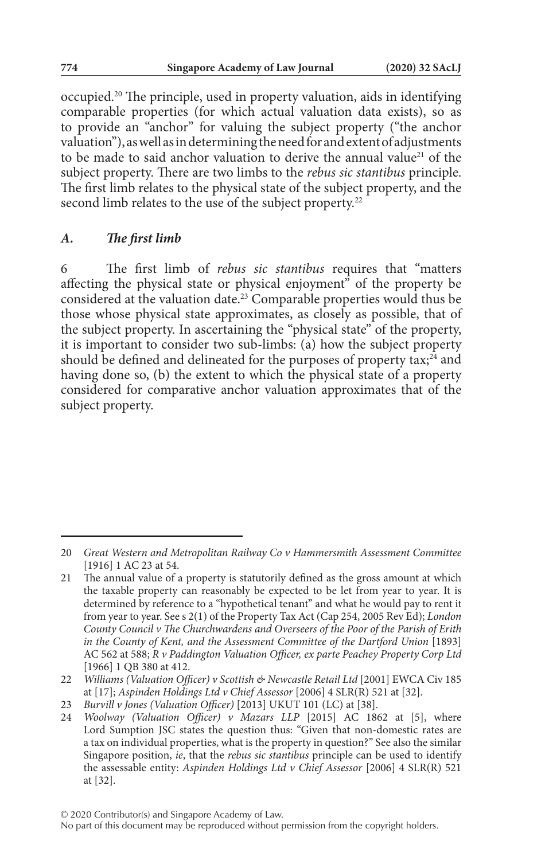occupied.20 The principle, used in property valuation, aids in identifying comparable properties (for which actual valuation data exists), so as to provide an "anchor" for valuing the subject property ("the anchor valuation"), as well as in determining the need for and extent of adjustments to be made to said anchor valuation to derive the annual value<sup>21</sup> of the subject property. There are two limbs to the *rebus sic stantibus* principle. The first limb relates to the physical state of the subject property, and the second limb relates to the use of the subject property.<sup>22</sup>

### *A. The first limb*

6 The first limb of *rebus sic stantibus* requires that "matters affecting the physical state or physical enjoyment" of the property be considered at the valuation date.23 Comparable properties would thus be those whose physical state approximates, as closely as possible, that of the subject property. In ascertaining the "physical state" of the property, it is important to consider two sub-limbs: (a) how the subject property should be defined and delineated for the purposes of property tax; $^{24}$  and having done so, (b) the extent to which the physical state of a property considered for comparative anchor valuation approximates that of the subject property.

<sup>20</sup> *Great Western and Metropolitan Railway Co v Hammersmith Assessment Committee* [1916] 1 AC 23 at 54.

<sup>21</sup> The annual value of a property is statutorily defined as the gross amount at which the taxable property can reasonably be expected to be let from year to year. It is determined by reference to a "hypothetical tenant" and what he would pay to rent it from year to year. See s 2(1) of the Property Tax Act (Cap 254, 2005 Rev Ed); *London County Council v The Churchwardens and Overseers of the Poor of the Parish of Erith in the County of Kent, and the Assessment Committee of the Dartford Union* [1893] AC 562 at 588; *R v Paddington Valuation Officer, ex parte Peachey Property Corp Ltd* [1966] 1 QB 380 at 412.

<sup>22</sup> *Williams (Valuation Officer) v Scottish & Newcastle Retail Ltd* [2001] EWCA Civ 185 at [17]; *Aspinden Holdings Ltd v Chief Assessor* [2006] 4 SLR(R) 521 at [32].

<sup>23</sup> *Burvill v Jones (Valuation Officer)* [2013] UKUT 101 (LC) at [38].

<sup>24</sup> *Woolway (Valuation Officer) v Mazars LLP* [2015] AC 1862 at [5], where Lord Sumption JSC states the question thus: "Given that non-domestic rates are a tax on individual properties, what is the property in question?" See also the similar Singapore position, *ie*, that the *rebus sic stantibus* principle can be used to identify the assessable entity: *Aspinden Holdings Ltd v Chief Assessor* [2006] 4 SLR(R) 521 at [32].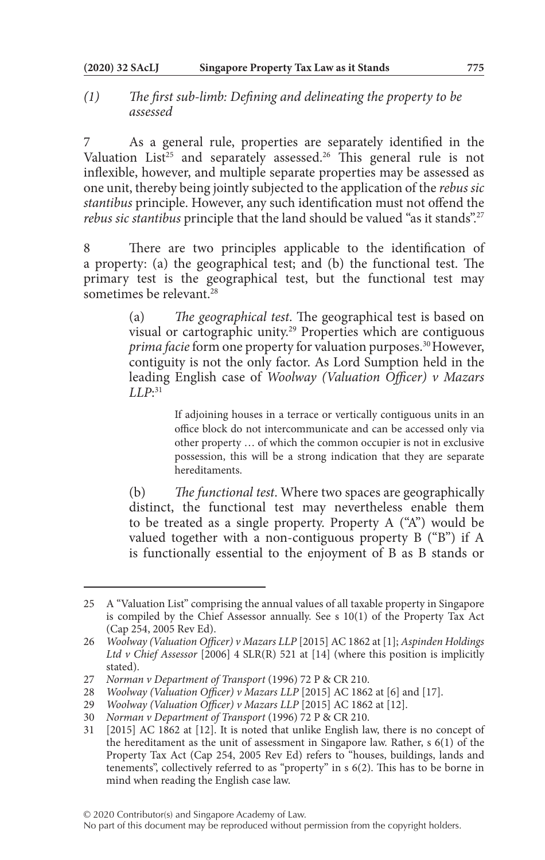#### **(2020) 32 SAcLJ Singapore Property Tax Law as it Stands 775**

## *(1) The first sub-limb: Defining and delineating the property to be assessed*

As a general rule, properties are separately identified in the Valuation List<sup>25</sup> and separately assessed.<sup>26</sup> This general rule is not inflexible, however, and multiple separate properties may be assessed as one unit, thereby being jointly subjected to the application of the *rebus sic stantibus* principle. However, any such identification must not offend the *rebus sic stantibus* principle that the land should be valued "as it stands".27

8 There are two principles applicable to the identification of a property: (a) the geographical test; and (b) the functional test. The primary test is the geographical test, but the functional test may sometimes be relevant.<sup>28</sup>

> (a) *The geographical test*. The geographical test is based on visual or cartographic unity.29 Properties which are contiguous *prima facie* form one property for valuation purposes.<sup>30</sup> However, contiguity is not the only factor. As Lord Sumption held in the leading English case of *Woolway (Valuation Officer) v Mazars LLP*: 31

> > If adjoining houses in a terrace or vertically contiguous units in an office block do not intercommunicate and can be accessed only via other property … of which the common occupier is not in exclusive possession, this will be a strong indication that they are separate hereditaments.

(b) *The functional test*. Where two spaces are geographically distinct, the functional test may nevertheless enable them to be treated as a single property. Property A ("A") would be valued together with a non-contiguous property B ("B") if A is functionally essential to the enjoyment of B as B stands or

<sup>25</sup> A "Valuation List" comprising the annual values of all taxable property in Singapore is compiled by the Chief Assessor annually. See  $s \ 10(1)$  of the Property Tax Act (Cap 254, 2005 Rev Ed).

<sup>26</sup> *Woolway (Valuation Officer) v Mazars LLP* [2015] AC 1862 at [1]; *Aspinden Holdings Ltd v Chief Assessor* [2006] 4 SLR(R) 521 at [14] (where this position is implicitly stated).

<sup>27</sup> *Norman v Department of Transport* (1996) 72 P & CR 210.

*Woolway (Valuation Officer) v Mazars LLP* [2015] AC 1862 at [6] and [17].

<sup>29</sup> *Woolway (Valuation Officer) v Mazars LLP* [2015] AC 1862 at [12].

<sup>30</sup> *Norman v Department of Transport* (1996) 72 P & CR 210.

<sup>31</sup> [2015] AC 1862 at [12]. It is noted that unlike English law, there is no concept of the hereditament as the unit of assessment in Singapore law. Rather, s 6(1) of the Property Tax Act (Cap 254, 2005 Rev Ed) refers to "houses, buildings, lands and tenements", collectively referred to as "property" in s 6(2). This has to be borne in mind when reading the English case law.

No part of this document may be reproduced without permission from the copyright holders.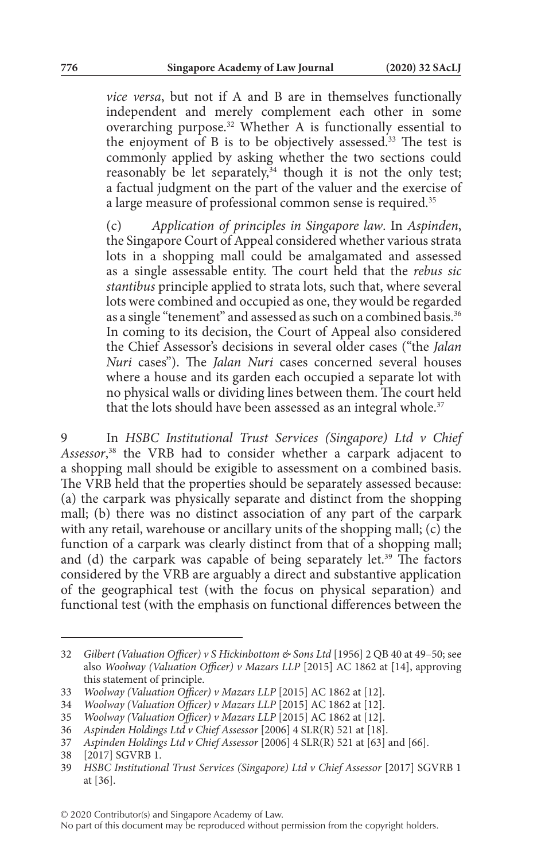*vice versa*, but not if A and B are in themselves functionally independent and merely complement each other in some overarching purpose.32 Whether A is functionally essential to the enjoyment of  $B$  is to be objectively assessed.<sup>33</sup> The test is commonly applied by asking whether the two sections could reasonably be let separately, $34$  though it is not the only test; a factual judgment on the part of the valuer and the exercise of a large measure of professional common sense is required.<sup>35</sup>

(c) *Application of principles in Singapore law*. In *Aspinden*, the Singapore Court of Appeal considered whether various strata lots in a shopping mall could be amalgamated and assessed as a single assessable entity. The court held that the *rebus sic stantibus* principle applied to strata lots, such that, where several lots were combined and occupied as one, they would be regarded as a single "tenement" and assessed as such on a combined basis.<sup>36</sup> In coming to its decision, the Court of Appeal also considered the Chief Assessor's decisions in several older cases ("the *Jalan Nuri* cases"). The *Jalan Nuri* cases concerned several houses where a house and its garden each occupied a separate lot with no physical walls or dividing lines between them. The court held that the lots should have been assessed as an integral whole.<sup>37</sup>

9 In *HSBC Institutional Trust Services (Singapore) Ltd v Chief Assessor*, 38 the VRB had to consider whether a carpark adjacent to a shopping mall should be exigible to assessment on a combined basis. The VRB held that the properties should be separately assessed because: (a) the carpark was physically separate and distinct from the shopping mall; (b) there was no distinct association of any part of the carpark with any retail, warehouse or ancillary units of the shopping mall; (c) the function of a carpark was clearly distinct from that of a shopping mall; and (d) the carpark was capable of being separately let.<sup>39</sup> The factors considered by the VRB are arguably a direct and substantive application of the geographical test (with the focus on physical separation) and functional test (with the emphasis on functional differences between the

<sup>32</sup> *Gilbert (Valuation Officer) v S Hickinbottom & Sons Ltd* [1956] 2 QB 40 at 49–50; see also *Woolway (Valuation Officer) v Mazars LLP* [2015] AC 1862 at [14], approving this statement of principle.

<sup>33</sup> *Woolway (Valuation Officer) v Mazars LLP* [2015] AC 1862 at [12].

<sup>34</sup> *Woolway (Valuation Officer) v Mazars LLP* [2015] AC 1862 at [12].

<sup>35</sup> *Woolway (Valuation Officer) v Mazars LLP* [2015] AC 1862 at [12].

<sup>36</sup> *Aspinden Holdings Ltd v Chief Assessor* [2006] 4 SLR(R) 521 at [18].

<sup>37</sup> *Aspinden Holdings Ltd v Chief Assessor* [2006] 4 SLR(R) 521 at [63] and [66].

<sup>38</sup> [2017] SGVRB 1.

<sup>39</sup> *HSBC Institutional Trust Services (Singapore) Ltd v Chief Assessor* [2017] SGVRB 1 at [36].

<sup>© 2020</sup> Contributor(s) and Singapore Academy of Law.

No part of this document may be reproduced without permission from the copyright holders.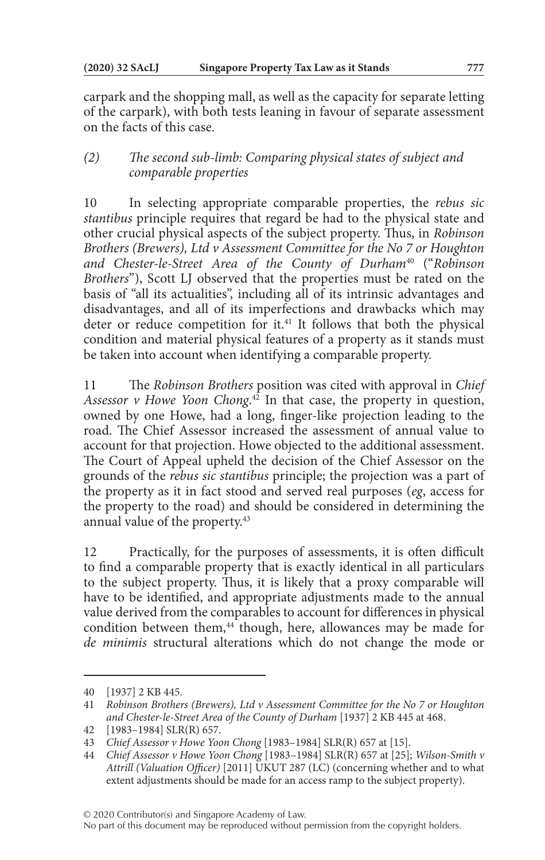carpark and the shopping mall, as well as the capacity for separate letting of the carpark), with both tests leaning in favour of separate assessment on the facts of this case.

# *(2) The second sub-limb: Comparing physical states of subject and comparable properties*

10 In selecting appropriate comparable properties, the *rebus sic stantibus* principle requires that regard be had to the physical state and other crucial physical aspects of the subject property. Thus, in *Robinson Brothers (Brewers), Ltd v Assessment Committee for the No 7 or Houghton and Chester-le-Street Area of the County of Durham*40 ("*Robinson Brothers*"), Scott LJ observed that the properties must be rated on the basis of "all its actualities", including all of its intrinsic advantages and disadvantages, and all of its imperfections and drawbacks which may deter or reduce competition for it.<sup>41</sup> It follows that both the physical condition and material physical features of a property as it stands must be taken into account when identifying a comparable property.

11 The *Robinson Brothers* position was cited with approval in *Chief Assessor v Howe Yoon Chong*. 42 In that case, the property in question, owned by one Howe, had a long, finger-like projection leading to the road. The Chief Assessor increased the assessment of annual value to account for that projection. Howe objected to the additional assessment. The Court of Appeal upheld the decision of the Chief Assessor on the grounds of the *rebus sic stantibus* principle; the projection was a part of the property as it in fact stood and served real purposes (*eg*, access for the property to the road) and should be considered in determining the annual value of the property.<sup>43</sup>

12 Practically, for the purposes of assessments, it is often difficult to find a comparable property that is exactly identical in all particulars to the subject property. Thus, it is likely that a proxy comparable will have to be identified, and appropriate adjustments made to the annual value derived from the comparables to account for differences in physical condition between them, $44$  though, here, allowances may be made for *de minimis* structural alterations which do not change the mode or

<sup>40</sup> [1937] 2 KB 445.

<sup>41</sup> *Robinson Brothers (Brewers), Ltd v Assessment Committee for the No 7 or Houghton and Chester-le-Street Area of the County of Durham* [1937] 2 KB 445 at 468.

<sup>42</sup> [1983–1984] SLR(R) 657.

<sup>43</sup> *Chief Assessor v Howe Yoon Chong* [1983–1984] SLR(R) 657 at [15].

<sup>44</sup> *Chief Assessor v Howe Yoon Chong* [1983–1984] SLR(R) 657 at [25]; *Wilson-Smith v Attrill (Valuation Officer)* [2011] UKUT 287 (LC) (concerning whether and to what extent adjustments should be made for an access ramp to the subject property).

No part of this document may be reproduced without permission from the copyright holders.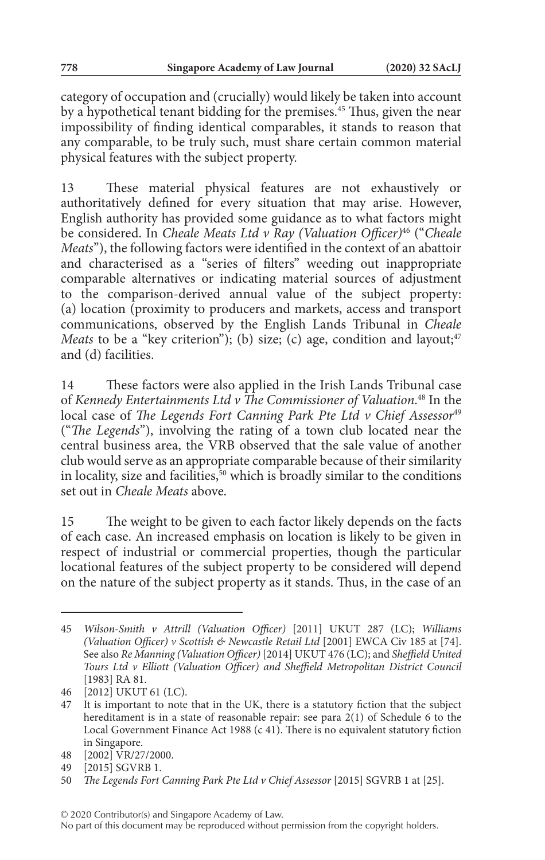category of occupation and (crucially) would likely be taken into account by a hypothetical tenant bidding for the premises.45 Thus, given the near impossibility of finding identical comparables, it stands to reason that any comparable, to be truly such, must share certain common material physical features with the subject property.

13 These material physical features are not exhaustively or authoritatively defined for every situation that may arise. However, English authority has provided some guidance as to what factors might be considered. In *Cheale Meats Ltd v Ray (Valuation Officer)*46 ("*Cheale Meats*"), the following factors were identified in the context of an abattoir and characterised as a "series of filters" weeding out inappropriate comparable alternatives or indicating material sources of adjustment to the comparison-derived annual value of the subject property: (a) location (proximity to producers and markets, access and transport communications, observed by the English Lands Tribunal in *Cheale Meats* to be a "key criterion"); (b) size; (c) age, condition and layout;  $47$ and (d) facilities.

14 These factors were also applied in the Irish Lands Tribunal case of *Kennedy Entertainments Ltd v The Commissioner of Valuation*. 48 In the local case of *The Legends Fort Canning Park Pte Ltd v Chief Assessor<sup>49</sup>* ("*The Legends*"), involving the rating of a town club located near the central business area, the VRB observed that the sale value of another club would serve as an appropriate comparable because of their similarity in locality, size and facilities,<sup>50</sup> which is broadly similar to the conditions set out in *Cheale Meats* above.

15 The weight to be given to each factor likely depends on the facts of each case. An increased emphasis on location is likely to be given in respect of industrial or commercial properties, though the particular locational features of the subject property to be considered will depend on the nature of the subject property as it stands. Thus, in the case of an

<sup>45</sup> *Wilson-Smith v Attrill (Valuation Officer)* [2011] UKUT 287 (LC); *Williams (Valuation Officer) v Scottish & Newcastle Retail Ltd* [2001] EWCA Civ 185 at [74]. See also *Re Manning (Valuation Officer)* [2014] UKUT 476 (LC); and *Sheffield United Tours Ltd v Elliott (Valuation Officer) and Sheffield Metropolitan District Council* [1983] RA 81.

<sup>46</sup> [2012] UKUT 61 (LC).

<sup>47</sup> It is important to note that in the UK, there is a statutory fiction that the subject hereditament is in a state of reasonable repair: see para 2(1) of Schedule 6 to the Local Government Finance Act 1988 (c 41). There is no equivalent statutory fiction in Singapore.

<sup>48</sup> [2002] VR/27/2000.

<sup>49</sup> [2015] SGVRB 1.

<sup>50</sup> *The Legends Fort Canning Park Pte Ltd v Chief Assessor* [2015] SGVRB 1 at [25].

No part of this document may be reproduced without permission from the copyright holders.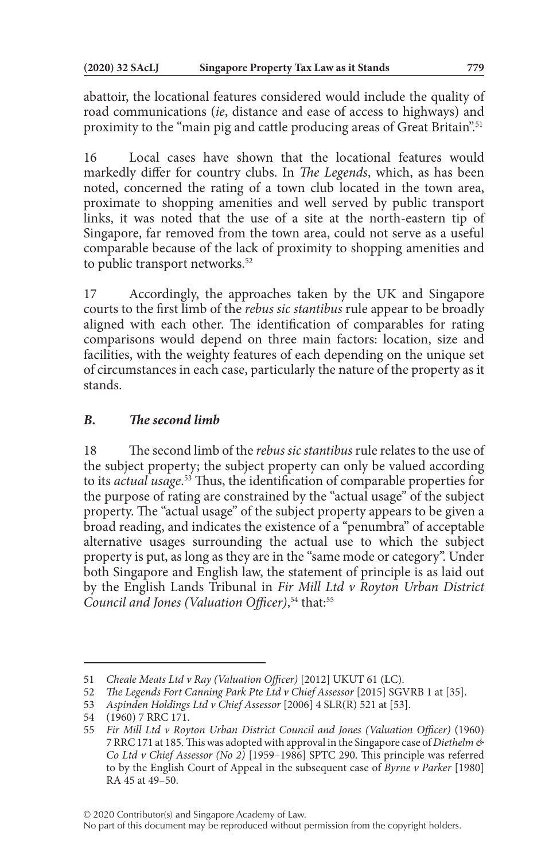abattoir, the locational features considered would include the quality of road communications (*ie*, distance and ease of access to highways) and proximity to the "main pig and cattle producing areas of Great Britain".<sup>51</sup>

Local cases have shown that the locational features would markedly differ for country clubs. In *The Legends*, which, as has been noted, concerned the rating of a town club located in the town area, proximate to shopping amenities and well served by public transport links, it was noted that the use of a site at the north-eastern tip of Singapore, far removed from the town area, could not serve as a useful comparable because of the lack of proximity to shopping amenities and to public transport networks.<sup>52</sup>

17 Accordingly, the approaches taken by the UK and Singapore courts to the first limb of the *rebus sic stantibus* rule appear to be broadly aligned with each other. The identification of comparables for rating comparisons would depend on three main factors: location, size and facilities, with the weighty features of each depending on the unique set of circumstances in each case, particularly the nature of the property as it stands.

# *B. The second limb*

18 The second limb of the *rebus sic stantibus* rule relates to the use of the subject property; the subject property can only be valued according to its *actual usage*. 53 Thus, the identification of comparable properties for the purpose of rating are constrained by the "actual usage" of the subject property. The "actual usage" of the subject property appears to be given a broad reading, and indicates the existence of a "penumbra" of acceptable alternative usages surrounding the actual use to which the subject property is put, as long as they are in the "same mode or category". Under both Singapore and English law, the statement of principle is as laid out by the English Lands Tribunal in *Fir Mill Ltd v Royton Urban District Council and Jones (Valuation Officer)*, 54 that:55

<sup>51</sup> *Cheale Meats Ltd v Ray (Valuation Officer)* [2012] UKUT 61 (LC).

<sup>52</sup> *The Legends Fort Canning Park Pte Ltd v Chief Assessor* [2015] SGVRB 1 at [35].

<sup>53</sup> *Aspinden Holdings Ltd v Chief Assessor* [2006] 4 SLR(R) 521 at [53].

<sup>(1960) 7</sup> RRC 171.

<sup>55</sup> *Fir Mill Ltd v Royton Urban District Council and Jones (Valuation Officer)* (1960) 7 RRC 171 at 185. This was adopted with approval in the Singapore case of *Diethelm & Co Ltd v Chief Assessor (No 2)* [1959–1986] SPTC 290. This principle was referred to by the English Court of Appeal in the subsequent case of *Byrne v Parker* [1980] RA 45 at 49–50.

No part of this document may be reproduced without permission from the copyright holders.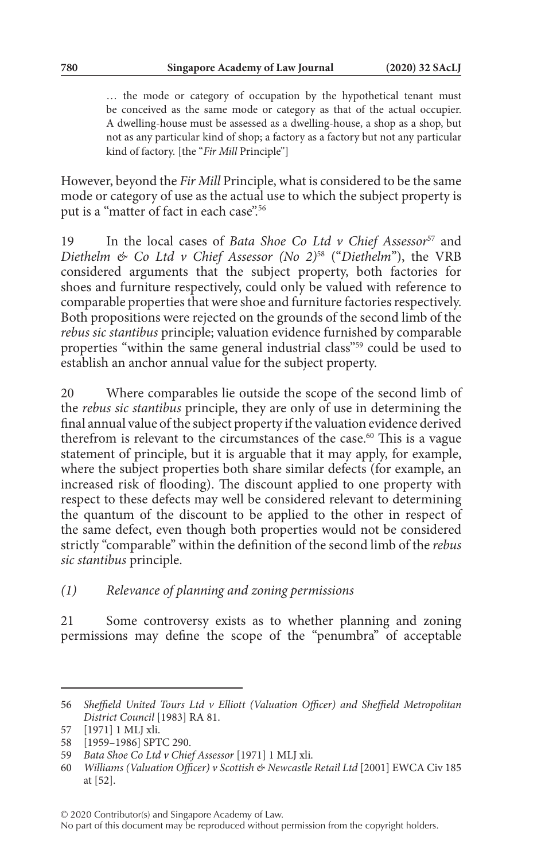… the mode or category of occupation by the hypothetical tenant must be conceived as the same mode or category as that of the actual occupier. A dwelling-house must be assessed as a dwelling-house, a shop as a shop, but not as any particular kind of shop; a factory as a factory but not any particular kind of factory. [the "*Fir Mill* Principle"]

However, beyond the *Fir Mill* Principle, what is considered to be the same mode or category of use as the actual use to which the subject property is put is a "matter of fact in each case".<sup>56</sup>

19 In the local cases of *Bata Shoe Co Ltd v Chief Assessor*57 and *Diethelm & Co Ltd v Chief Assessor (No 2)*58 ("*Diethelm*"), the VRB considered arguments that the subject property, both factories for shoes and furniture respectively, could only be valued with reference to comparable properties that were shoe and furniture factories respectively. Both propositions were rejected on the grounds of the second limb of the *rebus sic stantibus* principle; valuation evidence furnished by comparable properties "within the same general industrial class"59 could be used to establish an anchor annual value for the subject property.

20 Where comparables lie outside the scope of the second limb of the *rebus sic stantibus* principle, they are only of use in determining the final annual value of the subject property if the valuation evidence derived therefrom is relevant to the circumstances of the case.<sup>60</sup> This is a vague statement of principle, but it is arguable that it may apply, for example, where the subject properties both share similar defects (for example, an increased risk of flooding). The discount applied to one property with respect to these defects may well be considered relevant to determining the quantum of the discount to be applied to the other in respect of the same defect, even though both properties would not be considered strictly "comparable" within the definition of the second limb of the *rebus sic stantibus* principle.

*(1) Relevance of planning and zoning permissions*

21 Some controversy exists as to whether planning and zoning permissions may define the scope of the "penumbra" of acceptable

<sup>56</sup> *Sheffield United Tours Ltd v Elliott (Valuation Officer) and Sheffield Metropolitan District Council* [1983] RA 81.

<sup>57</sup> [1971] 1 MLJ xli.

<sup>58</sup> [1959–1986] SPTC 290.

<sup>59</sup> *Bata Shoe Co Ltd v Chief Assessor* [1971] 1 MLJ xli.

<sup>60</sup> *Williams (Valuation Officer) v Scottish & Newcastle Retail Ltd* [2001] EWCA Civ 185 at [52].

<sup>© 2020</sup> Contributor(s) and Singapore Academy of Law.

No part of this document may be reproduced without permission from the copyright holders.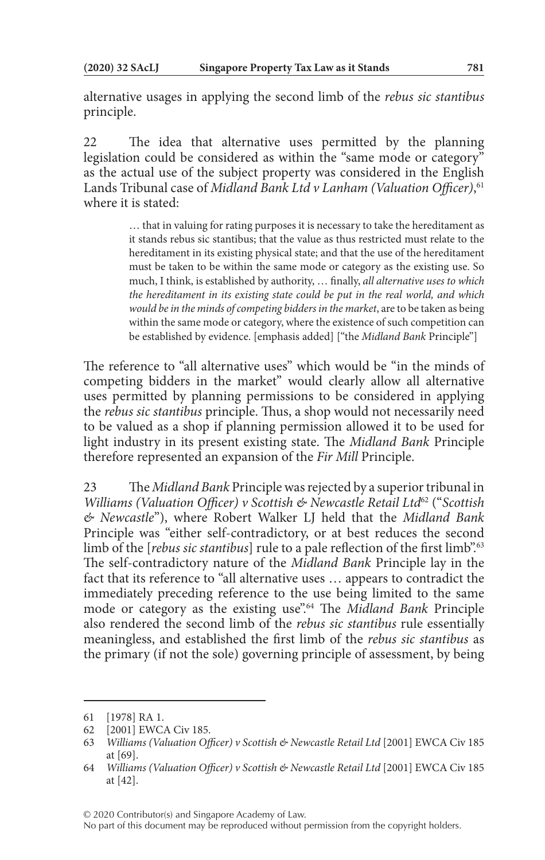alternative usages in applying the second limb of the *rebus sic stantibus* principle.

22 The idea that alternative uses permitted by the planning legislation could be considered as within the "same mode or category" as the actual use of the subject property was considered in the English Lands Tribunal case of *Midland Bank Ltd v Lanham (Valuation Officer)*, 61 where it is stated:

> … that in valuing for rating purposes it is necessary to take the hereditament as it stands rebus sic stantibus; that the value as thus restricted must relate to the hereditament in its existing physical state; and that the use of the hereditament must be taken to be within the same mode or category as the existing use. So much, I think, is established by authority, … finally, *all alternative uses to which the hereditament in its existing state could be put in the real world, and which would be in the minds of competing bidders in the market*, are to be taken as being within the same mode or category, where the existence of such competition can be established by evidence. [emphasis added] ["the *Midland Bank* Principle"]

The reference to "all alternative uses" which would be "in the minds of competing bidders in the market" would clearly allow all alternative uses permitted by planning permissions to be considered in applying the *rebus sic stantibus* principle. Thus, a shop would not necessarily need to be valued as a shop if planning permission allowed it to be used for light industry in its present existing state. The *Midland Bank* Principle therefore represented an expansion of the *Fir Mill* Principle.

23 The *Midland Bank* Principle was rejected by a superior tribunal in *Williams (Valuation Officer) v Scottish & Newcastle Retail Ltd*62 ("*Scottish & Newcastle*"), where Robert Walker LJ held that the *Midland Bank* Principle was "either self-contradictory, or at best reduces the second limb of the [*rebus sic stantibus*] rule to a pale reflection of the first limb".<sup>63</sup> The self-contradictory nature of the *Midland Bank* Principle lay in the fact that its reference to "all alternative uses … appears to contradict the immediately preceding reference to the use being limited to the same mode or category as the existing use".64 The *Midland Bank* Principle also rendered the second limb of the *rebus sic stantibus* rule essentially meaningless, and established the first limb of the *rebus sic stantibus* as the primary (if not the sole) governing principle of assessment, by being

<sup>61</sup> [1978] RA 1.

<sup>62</sup> [2001] EWCA Civ 185.

<sup>63</sup> *Williams (Valuation Officer) v Scottish & Newcastle Retail Ltd* [2001] EWCA Civ 185 at [69].

<sup>64</sup> *Williams (Valuation Officer) v Scottish & Newcastle Retail Ltd* [2001] EWCA Civ 185 at [42].

<sup>© 2020</sup> Contributor(s) and Singapore Academy of Law.

No part of this document may be reproduced without permission from the copyright holders.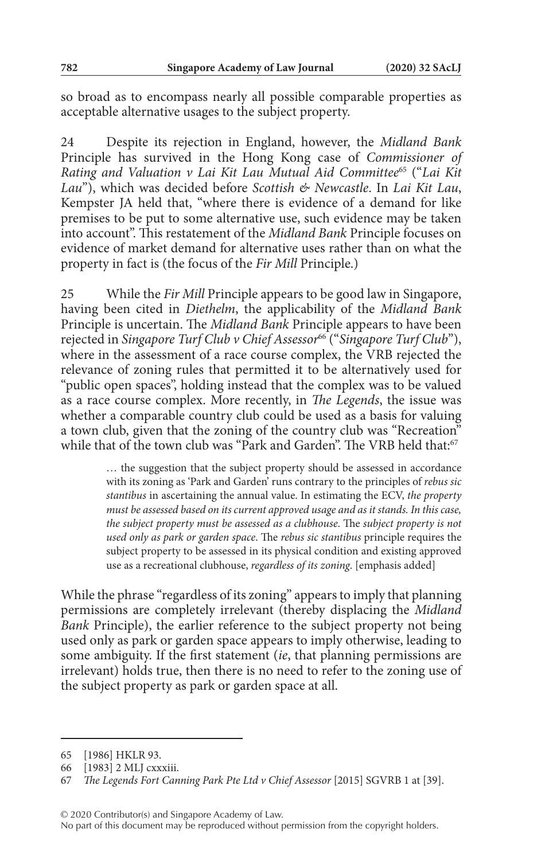so broad as to encompass nearly all possible comparable properties as acceptable alternative usages to the subject property.

24 Despite its rejection in England, however, the *Midland Bank* Principle has survived in the Hong Kong case of *Commissioner of Rating and Valuation v Lai Kit Lau Mutual Aid Committee*65 ("*Lai Kit Lau*"), which was decided before *Scottish & Newcastle*. In *Lai Kit Lau*, Kempster JA held that, "where there is evidence of a demand for like premises to be put to some alternative use, such evidence may be taken into account". This restatement of the *Midland Bank* Principle focuses on evidence of market demand for alternative uses rather than on what the property in fact is (the focus of the *Fir Mill* Principle.)

25 While the *Fir Mill* Principle appears to be good law in Singapore, having been cited in *Diethelm*, the applicability of the *Midland Bank* Principle is uncertain. The *Midland Bank* Principle appears to have been rejected in *Singapore Turf Club v Chief Assessor*66 ("*Singapore Turf Club*"), where in the assessment of a race course complex, the VRB rejected the relevance of zoning rules that permitted it to be alternatively used for "public open spaces", holding instead that the complex was to be valued as a race course complex. More recently, in *The Legends*, the issue was whether a comparable country club could be used as a basis for valuing a town club, given that the zoning of the country club was "Recreation" while that of the town club was "Park and Garden". The VRB held that:<sup>67</sup>

> … the suggestion that the subject property should be assessed in accordance with its zoning as 'Park and Garden' runs contrary to the principles of *rebus sic stantibus* in ascertaining the annual value. In estimating the ECV, *the property must be assessed based on its current approved usage and as it stands. In this case, the subject property must be assessed as a clubhouse*. The *subject property is not used only as park or garden space*. The *rebus sic stantibus* principle requires the subject property to be assessed in its physical condition and existing approved use as a recreational clubhouse, *regardless of its zoning*. [emphasis added]

While the phrase "regardless of its zoning" appears to imply that planning permissions are completely irrelevant (thereby displacing the *Midland Bank* Principle), the earlier reference to the subject property not being used only as park or garden space appears to imply otherwise, leading to some ambiguity. If the first statement (*ie*, that planning permissions are irrelevant) holds true, then there is no need to refer to the zoning use of the subject property as park or garden space at all.

<sup>65</sup> [1986] HKLR 93.

<sup>66</sup> [1983] 2 MLJ cxxxiii.

<sup>67</sup> *The Legends Fort Canning Park Pte Ltd v Chief Assessor* [2015] SGVRB 1 at [39].

No part of this document may be reproduced without permission from the copyright holders.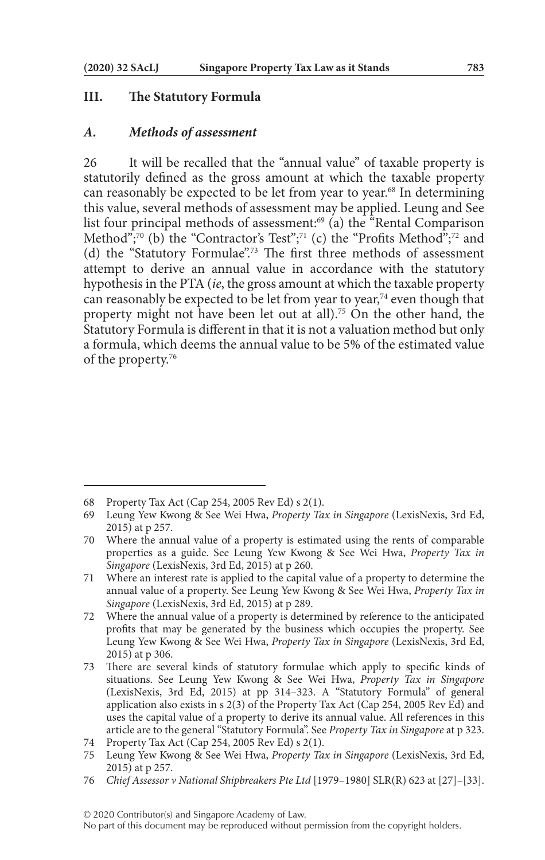#### **III. The Statutory Formula**

#### *A. Methods of assessment*

26 It will be recalled that the "annual value" of taxable property is statutorily defined as the gross amount at which the taxable property can reasonably be expected to be let from year to year.<sup>68</sup> In determining this value, several methods of assessment may be applied. Leung and See list four principal methods of assessment:<sup>69</sup> (a) the "Rental Comparison Method";<sup>70</sup> (b) the "Contractor's Test";<sup>71</sup> (c) the "Profits Method";<sup>72</sup> and (d) the "Statutory Formulae".73 The first three methods of assessment attempt to derive an annual value in accordance with the statutory hypothesis in the PTA (*ie*, the gross amount at which the taxable property can reasonably be expected to be let from year to year, $74$  even though that property might not have been let out at all).75 On the other hand, the Statutory Formula is different in that it is not a valuation method but only a formula, which deems the annual value to be 5% of the estimated value of the property.76

<sup>68</sup> Property Tax Act (Cap 254, 2005 Rev Ed) s 2(1).

<sup>69</sup> Leung Yew Kwong & See Wei Hwa, *Property Tax in Singapore* (LexisNexis, 3rd Ed, 2015) at p 257.

<sup>70</sup> Where the annual value of a property is estimated using the rents of comparable properties as a guide. See Leung Yew Kwong & See Wei Hwa, *Property Tax in Singapore* (LexisNexis, 3rd Ed, 2015) at p 260.

<sup>71</sup> Where an interest rate is applied to the capital value of a property to determine the annual value of a property. See Leung Yew Kwong & See Wei Hwa, *Property Tax in Singapore* (LexisNexis, 3rd Ed, 2015) at p 289.

<sup>72</sup> Where the annual value of a property is determined by reference to the anticipated profits that may be generated by the business which occupies the property. See Leung Yew Kwong & See Wei Hwa, *Property Tax in Singapore* (LexisNexis, 3rd Ed, 2015) at p 306.

<sup>73</sup> There are several kinds of statutory formulae which apply to specific kinds of situations. See Leung Yew Kwong & See Wei Hwa, *Property Tax in Singapore* (LexisNexis, 3rd Ed, 2015) at pp 314–323. A "Statutory Formula" of general application also exists in s 2(3) of the Property Tax Act (Cap 254, 2005 Rev Ed) and uses the capital value of a property to derive its annual value. All references in this article are to the general "Statutory Formula". See *Property Tax in Singapore* at p 323.

<sup>74</sup> Property Tax Act (Cap 254, 2005 Rev Ed) s 2(1).

<sup>75</sup> Leung Yew Kwong & See Wei Hwa, *Property Tax in Singapore* (LexisNexis, 3rd Ed, 2015) at p 257.

<sup>76</sup> *Chief Assessor v National Shipbreakers Pte Ltd* [1979–1980] SLR(R) 623 at [27]–[33].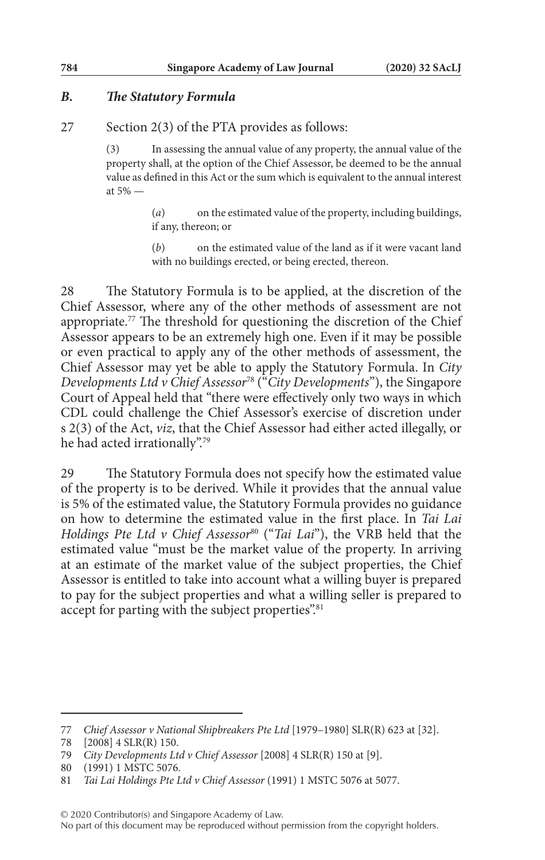## *B. The Statutory Formula*

27 Section 2(3) of the PTA provides as follows:

(3) In assessing the annual value of any property, the annual value of the property shall, at the option of the Chief Assessor, be deemed to be the annual value as defined in this Act or the sum which is equivalent to the annual interest at 5% —

> (*a*) on the estimated value of the property, including buildings, if any, thereon; or

> (*b*) on the estimated value of the land as if it were vacant land with no buildings erected, or being erected, thereon.

28 The Statutory Formula is to be applied, at the discretion of the Chief Assessor, where any of the other methods of assessment are not appropriate.77 The threshold for questioning the discretion of the Chief Assessor appears to be an extremely high one. Even if it may be possible or even practical to apply any of the other methods of assessment, the Chief Assessor may yet be able to apply the Statutory Formula. In *City Developments Ltd v Chief Assessor*78 ("*City Developments*"), the Singapore Court of Appeal held that "there were effectively only two ways in which CDL could challenge the Chief Assessor's exercise of discretion under s 2(3) of the Act, *viz*, that the Chief Assessor had either acted illegally, or he had acted irrationally".79

29 The Statutory Formula does not specify how the estimated value of the property is to be derived. While it provides that the annual value is 5% of the estimated value, the Statutory Formula provides no guidance on how to determine the estimated value in the first place. In *Tai Lai Holdings Pte Ltd v Chief Assessor<sup>80</sup>* ("*Tai Lai*"), the VRB held that the estimated value "must be the market value of the property. In arriving at an estimate of the market value of the subject properties, the Chief Assessor is entitled to take into account what a willing buyer is prepared to pay for the subject properties and what a willing seller is prepared to accept for parting with the subject properties".<sup>81</sup>

© 2020 Contributor(s) and Singapore Academy of Law.

No part of this document may be reproduced without permission from the copyright holders.

<sup>77</sup> *Chief Assessor v National Shipbreakers Pte Ltd* [1979–1980] SLR(R) 623 at [32].

<sup>78</sup> [2008] 4 SLR(R) 150.

<sup>79</sup> *City Developments Ltd v Chief Assessor* [2008] 4 SLR(R) 150 at [9].

<sup>80</sup> (1991) 1 MSTC 5076.

<sup>81</sup> *Tai Lai Holdings Pte Ltd v Chief Assessor* (1991) 1 MSTC 5076 at 5077.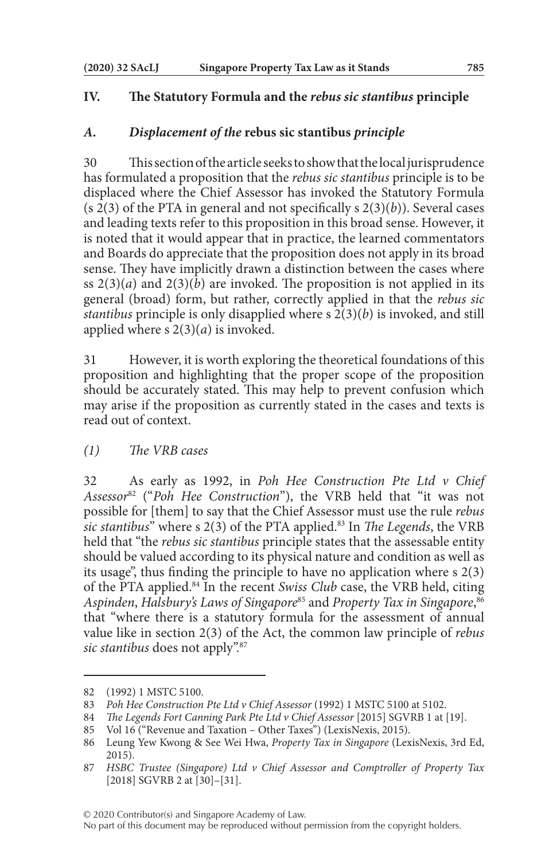## **IV. The Statutory Formula and the** *rebus sic stantibus* **principle**

#### *A. Displacement of the* **rebus sic stantibus** *principle*

30 This section of the article seeks to show that the local jurisprudence has formulated a proposition that the *rebus sic stantibus* principle is to be displaced where the Chief Assessor has invoked the Statutory Formula (s 2(3) of the PTA in general and not specifically s 2(3)(*b*)). Several cases and leading texts refer to this proposition in this broad sense. However, it is noted that it would appear that in practice, the learned commentators and Boards do appreciate that the proposition does not apply in its broad sense. They have implicitly drawn a distinction between the cases where ss  $2(3)(a)$  and  $2(3)(b)$  are invoked. The proposition is not applied in its general (broad) form, but rather, correctly applied in that the *rebus sic stantibus* principle is only disapplied where s 2(3)(*b*) is invoked, and still applied where s 2(3)(*a*) is invoked.

31 However, it is worth exploring the theoretical foundations of this proposition and highlighting that the proper scope of the proposition should be accurately stated. This may help to prevent confusion which may arise if the proposition as currently stated in the cases and texts is read out of context.

*(1) The VRB cases*

32 As early as 1992, in *Poh Hee Construction Pte Ltd v Chief Assessor*82 ("*Poh Hee Construction*"), the VRB held that "it was not possible for [them] to say that the Chief Assessor must use the rule *rebus sic stantibus*" where s 2(3) of the PTA applied.83 In *The Legends*, the VRB held that "the *rebus sic stantibus* principle states that the assessable entity should be valued according to its physical nature and condition as well as its usage", thus finding the principle to have no application where s 2(3) of the PTA applied.84 In the recent *Swiss Club* case, the VRB held, citing *Aspinden*, *Halsbury's Laws of Singapore*85 and *Property Tax in Singapore*, 86 that "where there is a statutory formula for the assessment of annual value like in section 2(3) of the Act, the common law principle of *rebus sic stantibus* does not apply".87

<sup>82</sup> (1992) 1 MSTC 5100.

<sup>83</sup> *Poh Hee Construction Pte Ltd v Chief Assessor* (1992) 1 MSTC 5100 at 5102.

<sup>84</sup> *The Legends Fort Canning Park Pte Ltd v Chief Assessor* [2015] SGVRB 1 at [19].

<sup>85</sup> Vol 16 ("Revenue and Taxation – Other Taxes") (LexisNexis, 2015).

<sup>86</sup> Leung Yew Kwong & See Wei Hwa, *Property Tax in Singapore* (LexisNexis, 3rd Ed, 2015).

<sup>87</sup> *HSBC Trustee (Singapore) Ltd v Chief Assessor and Comptroller of Property Tax* [2018] SGVRB 2 at [30]–[31].

No part of this document may be reproduced without permission from the copyright holders.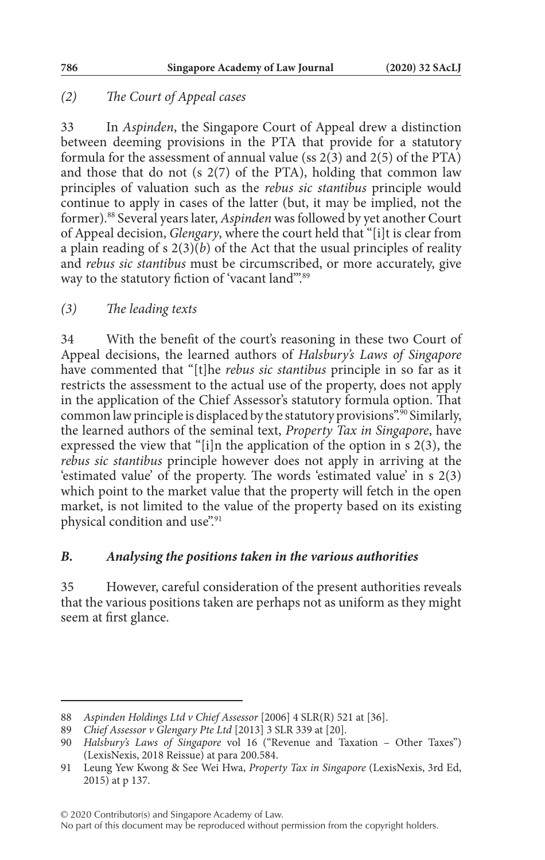# *(2) The Court of Appeal cases*

33 In *Aspinden*, the Singapore Court of Appeal drew a distinction between deeming provisions in the PTA that provide for a statutory formula for the assessment of annual value (ss 2(3) and 2(5) of the PTA) and those that do not (s 2(7) of the PTA), holding that common law principles of valuation such as the *rebus sic stantibus* principle would continue to apply in cases of the latter (but, it may be implied, not the former).88 Several years later, *Aspinden* was followed by yet another Court of Appeal decision, *Glengary*, where the court held that "[i]t is clear from a plain reading of s  $2(3)(b)$  of the Act that the usual principles of reality and *rebus sic stantibus* must be circumscribed, or more accurately, give way to the statutory fiction of 'vacant land".<sup>89</sup>

# *(3) The leading texts*

34 With the benefit of the court's reasoning in these two Court of Appeal decisions, the learned authors of *Halsbury's Laws of Singapore* have commented that "[t]he *rebus sic stantibus* principle in so far as it restricts the assessment to the actual use of the property, does not apply in the application of the Chief Assessor's statutory formula option. That common law principle is displaced by the statutory provisions".90 Similarly, the learned authors of the seminal text, *Property Tax in Singapore*, have expressed the view that "[i]n the application of the option in s 2(3), the *rebus sic stantibus* principle however does not apply in arriving at the 'estimated value' of the property. The words 'estimated value' in s 2(3) which point to the market value that the property will fetch in the open market, is not limited to the value of the property based on its existing physical condition and use".91

## *B. Analysing the positions taken in the various authorities*

35 However, careful consideration of the present authorities reveals that the various positions taken are perhaps not as uniform as they might seem at first glance.

<sup>88</sup> *Aspinden Holdings Ltd v Chief Assessor* [2006] 4 SLR(R) 521 at [36].

<sup>89</sup> *Chief Assessor v Glengary Pte Ltd* [2013] 3 SLR 339 at [20].

<sup>90</sup> *Halsbury's Laws of Singapore* vol 16 ("Revenue and Taxation – Other Taxes") (LexisNexis, 2018 Reissue) at para 200.584.

<sup>91</sup> Leung Yew Kwong & See Wei Hwa, *Property Tax in Singapore* (LexisNexis, 3rd Ed, 2015) at p 137.

No part of this document may be reproduced without permission from the copyright holders.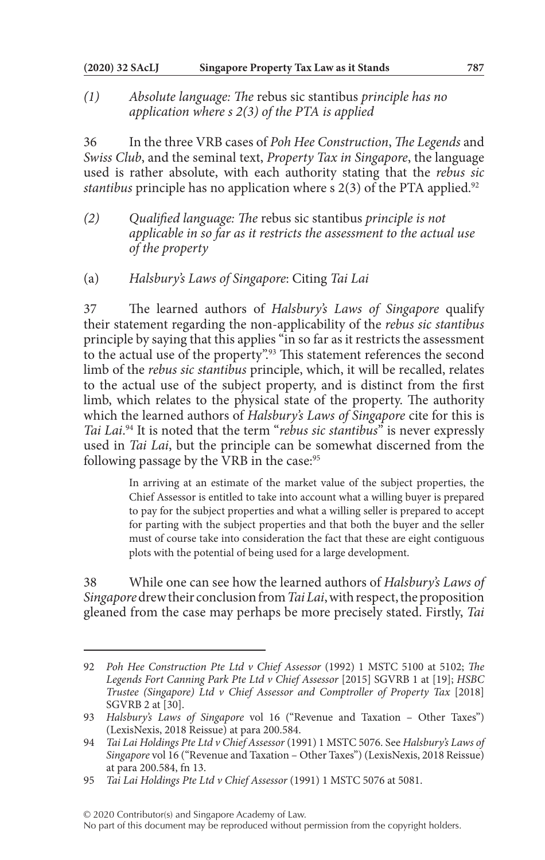*(1) Absolute language: The* rebus sic stantibus *principle has no application where s 2(3) of the PTA is applied*

36 In the three VRB cases of *Poh Hee Construction*, *The Legends* and *Swiss Club*, and the seminal text, *Property Tax in Singapore*, the language used is rather absolute, with each authority stating that the *rebus sic stantibus* principle has no application where s 2(3) of the PTA applied.<sup>92</sup>

- *(2) Qualified language: The* rebus sic stantibus *principle is not applicable in so far as it restricts the assessment to the actual use of the property*
- (a) *Halsbury's Laws of Singapore*: Citing *Tai Lai*

37 The learned authors of *Halsbury's Laws of Singapore* qualify their statement regarding the non-applicability of the *rebus sic stantibus* principle by saying that this applies "in so far as it restricts the assessment to the actual use of the property".<sup>93</sup> This statement references the second limb of the *rebus sic stantibus* principle, which, it will be recalled, relates to the actual use of the subject property, and is distinct from the first limb, which relates to the physical state of the property. The authority which the learned authors of *Halsbury's Laws of Singapore* cite for this is *Tai Lai*. 94 It is noted that the term "*rebus sic stantibus*" is never expressly used in *Tai Lai*, but the principle can be somewhat discerned from the following passage by the VRB in the case:<sup>95</sup>

> In arriving at an estimate of the market value of the subject properties, the Chief Assessor is entitled to take into account what a willing buyer is prepared to pay for the subject properties and what a willing seller is prepared to accept for parting with the subject properties and that both the buyer and the seller must of course take into consideration the fact that these are eight contiguous plots with the potential of being used for a large development.

38 While one can see how the learned authors of *Halsbury's Laws of Singapore* drew their conclusion from *Tai Lai*, with respect, the proposition gleaned from the case may perhaps be more precisely stated. Firstly, *Tai* 

© 2020 Contributor(s) and Singapore Academy of Law.

No part of this document may be reproduced without permission from the copyright holders.

<sup>92</sup> *Poh Hee Construction Pte Ltd v Chief Assessor* (1992) 1 MSTC 5100 at 5102; *The Legends Fort Canning Park Pte Ltd v Chief Assessor* [2015] SGVRB 1 at [19]; *HSBC Trustee (Singapore) Ltd v Chief Assessor and Comptroller of Property Tax* [2018] SGVRB 2 at [30].

<sup>93</sup> *Halsbury's Laws of Singapore* vol 16 ("Revenue and Taxation – Other Taxes") (LexisNexis, 2018 Reissue) at para 200.584.

<sup>94</sup> *Tai Lai Holdings Pte Ltd v Chief Assessor* (1991) 1 MSTC 5076. See *Halsbury's Laws of Singapore* vol 16 ("Revenue and Taxation – Other Taxes") (LexisNexis, 2018 Reissue) at para 200.584, fn 13.

<sup>95</sup> *Tai Lai Holdings Pte Ltd v Chief Assessor* (1991) 1 MSTC 5076 at 5081.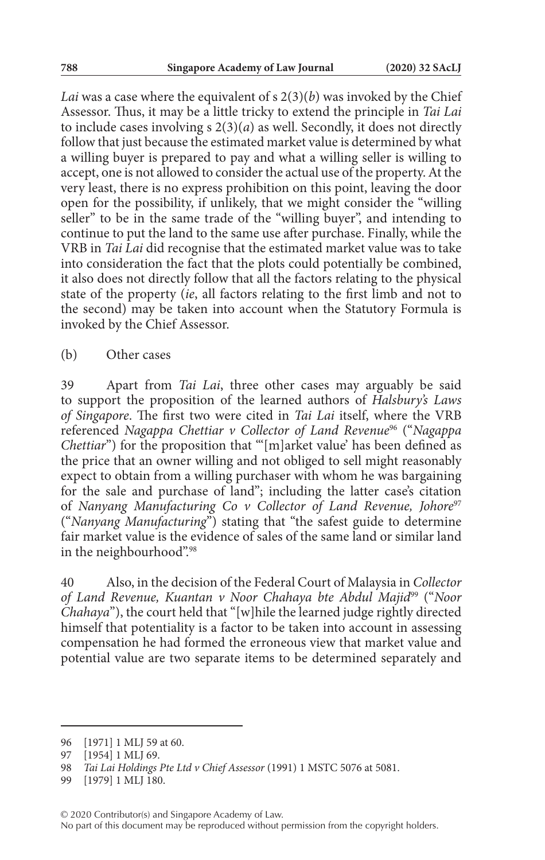*Lai* was a case where the equivalent of s 2(3)(*b*) was invoked by the Chief Assessor. Thus, it may be a little tricky to extend the principle in *Tai Lai* to include cases involving  $s \ 2(3)(a)$  as well. Secondly, it does not directly follow that just because the estimated market value is determined by what a willing buyer is prepared to pay and what a willing seller is willing to accept, one is not allowed to consider the actual use of the property. At the very least, there is no express prohibition on this point, leaving the door open for the possibility, if unlikely, that we might consider the "willing seller" to be in the same trade of the "willing buyer", and intending to continue to put the land to the same use after purchase. Finally, while the VRB in *Tai Lai* did recognise that the estimated market value was to take into consideration the fact that the plots could potentially be combined, it also does not directly follow that all the factors relating to the physical state of the property (*ie*, all factors relating to the first limb and not to the second) may be taken into account when the Statutory Formula is invoked by the Chief Assessor.

(b) Other cases

39 Apart from *Tai Lai*, three other cases may arguably be said to support the proposition of the learned authors of *Halsbury's Laws of Singapore*. The first two were cited in *Tai Lai* itself, where the VRB referenced *Nagappa Chettiar v Collector of Land Revenue*96 ("*Nagappa Chettiar*") for the proposition that "'[m]arket value' has been defined as the price that an owner willing and not obliged to sell might reasonably expect to obtain from a willing purchaser with whom he was bargaining for the sale and purchase of land"; including the latter case's citation of *Nanyang Manufacturing Co v Collector of Land Revenue*, *Johore*<sup>97</sup> ("*Nanyang Manufacturing*") stating that "the safest guide to determine fair market value is the evidence of sales of the same land or similar land in the neighbourhood".98

40 Also, in the decision of the Federal Court of Malaysia in *Collector of Land Revenue, Kuantan v Noor Chahaya bte Abdul Majid*99 ("*Noor Chahaya*"), the court held that "[w]hile the learned judge rightly directed himself that potentiality is a factor to be taken into account in assessing compensation he had formed the erroneous view that market value and potential value are two separate items to be determined separately and

<sup>96</sup> [1971] 1 MLJ 59 at 60.

<sup>97</sup> [1954] 1 MLJ 69.

<sup>98</sup> *Tai Lai Holdings Pte Ltd v Chief Assessor* (1991) 1 MSTC 5076 at 5081.

<sup>99</sup> [1979] 1 MLJ 180.

No part of this document may be reproduced without permission from the copyright holders.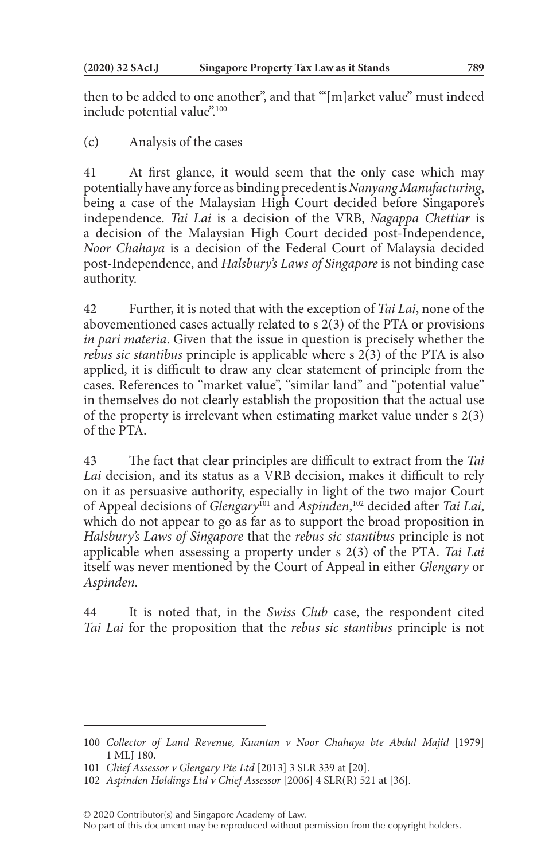then to be added to one another", and that "'[m]arket value" must indeed include potential value".<sup>100</sup>

(c) Analysis of the cases

41 At first glance, it would seem that the only case which may potentially have any force as binding precedent is *Nanyang Manufacturing*, being a case of the Malaysian High Court decided before Singapore's independence. *Tai Lai* is a decision of the VRB, *Nagappa Chettiar* is a decision of the Malaysian High Court decided post-Independence, *Noor Chahaya* is a decision of the Federal Court of Malaysia decided post-Independence, and *Halsbury's Laws of Singapore* is not binding case authority.

42 Further, it is noted that with the exception of *Tai Lai*, none of the abovementioned cases actually related to s 2(3) of the PTA or provisions *in pari materia*. Given that the issue in question is precisely whether the *rebus sic stantibus* principle is applicable where s 2(3) of the PTA is also applied, it is difficult to draw any clear statement of principle from the cases. References to "market value", "similar land" and "potential value" in themselves do not clearly establish the proposition that the actual use of the property is irrelevant when estimating market value under s 2(3) of the PTA.

43 The fact that clear principles are difficult to extract from the *Tai Lai* decision, and its status as a VRB decision, makes it difficult to rely on it as persuasive authority, especially in light of the two major Court of Appeal decisions of *Glengary*101 and *Aspinden*, 102 decided after *Tai Lai*, which do not appear to go as far as to support the broad proposition in *Halsbury's Laws of Singapore* that the *rebus sic stantibus* principle is not applicable when assessing a property under s 2(3) of the PTA. *Tai Lai* itself was never mentioned by the Court of Appeal in either *Glengary* or *Aspinden*.

44 It is noted that, in the *Swiss Club* case, the respondent cited *Tai Lai* for the proposition that the *rebus sic stantibus* principle is not

<sup>100</sup> *Collector of Land Revenue, Kuantan v Noor Chahaya bte Abdul Majid* [1979] 1 MLJ 180.

<sup>101</sup> *Chief Assessor v Glengary Pte Ltd* [2013] 3 SLR 339 at [20].

<sup>102</sup> *Aspinden Holdings Ltd v Chief Assessor* [2006] 4 SLR(R) 521 at [36].

<sup>© 2020</sup> Contributor(s) and Singapore Academy of Law.

No part of this document may be reproduced without permission from the copyright holders.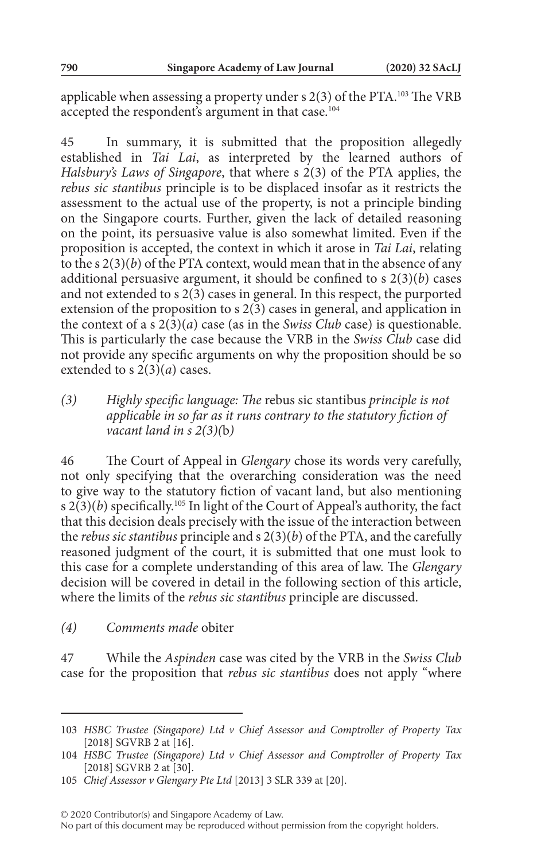applicable when assessing a property under s 2(3) of the PTA.103 The VRB accepted the respondent's argument in that case.<sup>104</sup>

45 In summary, it is submitted that the proposition allegedly established in *Tai Lai*, as interpreted by the learned authors of *Halsbury's Laws of Singapore*, that where s 2(3) of the PTA applies, the *rebus sic stantibus* principle is to be displaced insofar as it restricts the assessment to the actual use of the property, is not a principle binding on the Singapore courts. Further, given the lack of detailed reasoning on the point, its persuasive value is also somewhat limited. Even if the proposition is accepted, the context in which it arose in *Tai Lai*, relating to the s 2(3)(*b*) of the PTA context, would mean that in the absence of any additional persuasive argument, it should be confined to s 2(3)(*b*) cases and not extended to  $s$   $2(3)$  cases in general. In this respect, the purported extension of the proposition to s  $2(3)$  cases in general, and application in the context of a s 2(3)(*a*) case (as in the *Swiss Club* case) is questionable. This is particularly the case because the VRB in the *Swiss Club* case did not provide any specific arguments on why the proposition should be so extended to s 2(3)(*a*) cases.

*(3) Highly specific language: The* rebus sic stantibus *principle is not applicable in so far as it runs contrary to the statutory fiction of vacant land in s 2(3)(*b*)*

46 The Court of Appeal in *Glengary* chose its words very carefully, not only specifying that the overarching consideration was the need to give way to the statutory fiction of vacant land, but also mentioning s  $2(3)(b)$  specifically.<sup>105</sup> In light of the Court of Appeal's authority, the fact that this decision deals precisely with the issue of the interaction between the *rebus sic stantibus* principle and s 2(3)(*b*) of the PTA, and the carefully reasoned judgment of the court, it is submitted that one must look to this case for a complete understanding of this area of law. The *Glengary* decision will be covered in detail in the following section of this article, where the limits of the *rebus sic stantibus* principle are discussed.

#### *(4) Comments made* obiter

47 While the *Aspinden* case was cited by the VRB in the *Swiss Club* case for the proposition that *rebus sic stantibus* does not apply "where

<sup>103</sup> *HSBC Trustee (Singapore) Ltd v Chief Assessor and Comptroller of Property Tax* [2018] SGVRB 2 at [16].

<sup>104</sup> *HSBC Trustee (Singapore) Ltd v Chief Assessor and Comptroller of Property Tax* [2018] SGVRB 2 at [30].

<sup>105</sup> *Chief Assessor v Glengary Pte Ltd* [2013] 3 SLR 339 at [20].

No part of this document may be reproduced without permission from the copyright holders.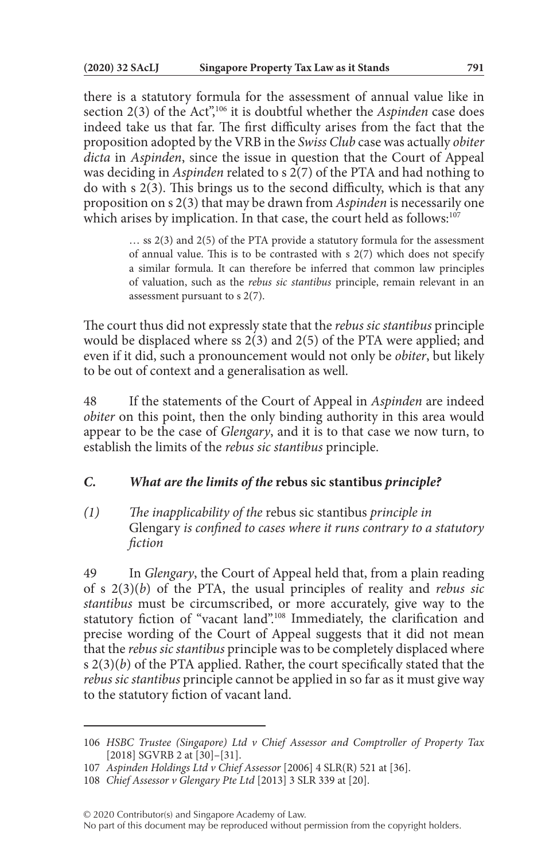there is a statutory formula for the assessment of annual value like in section 2(3) of the Act<sup>",106</sup> it is doubtful whether the *Aspinden* case does indeed take us that far. The first difficulty arises from the fact that the proposition adopted by the VRB in the *Swiss Club* case was actually *obiter dicta* in *Aspinden*, since the issue in question that the Court of Appeal was deciding in *Aspinden* related to s 2(7) of the PTA and had nothing to do with s 2(3). This brings us to the second difficulty, which is that any proposition on s 2(3) that may be drawn from *Aspinden* is necessarily one which arises by implication. In that case, the court held as follows:<sup>107</sup>

> … ss 2(3) and 2(5) of the PTA provide a statutory formula for the assessment of annual value. This is to be contrasted with s 2(7) which does not specify a similar formula. It can therefore be inferred that common law principles of valuation, such as the *rebus sic stantibus* principle, remain relevant in an assessment pursuant to s 2(7).

The court thus did not expressly state that the *rebus sic stantibus* principle would be displaced where ss 2(3) and 2(5) of the PTA were applied; and even if it did, such a pronouncement would not only be *obiter*, but likely to be out of context and a generalisation as well.

48 If the statements of the Court of Appeal in *Aspinden* are indeed *obiter* on this point, then the only binding authority in this area would appear to be the case of *Glengary*, and it is to that case we now turn, to establish the limits of the *rebus sic stantibus* principle.

## *C. What are the limits of the* **rebus sic stantibus** *principle?*

*(1) The inapplicability of the* rebus sic stantibus *principle in*  Glengary *is confined to cases where it runs contrary to a statutory fiction*

49 In *Glengary*, the Court of Appeal held that, from a plain reading of s 2(3)(*b*) of the PTA, the usual principles of reality and *rebus sic stantibus* must be circumscribed, or more accurately, give way to the statutory fiction of "vacant land".108 Immediately, the clarification and precise wording of the Court of Appeal suggests that it did not mean that the *rebus sic stantibus* principle was to be completely displaced where s 2(3)(*b*) of the PTA applied. Rather, the court specifically stated that the *rebus sic stantibus* principle cannot be applied in so far as it must give way to the statutory fiction of vacant land.

<sup>106</sup> *HSBC Trustee (Singapore) Ltd v Chief Assessor and Comptroller of Property Tax* [2018] SGVRB 2 at [30]–[31].

<sup>107</sup> *Aspinden Holdings Ltd v Chief Assessor* [2006] 4 SLR(R) 521 at [36].

<sup>108</sup> *Chief Assessor v Glengary Pte Ltd* [2013] 3 SLR 339 at [20].

No part of this document may be reproduced without permission from the copyright holders.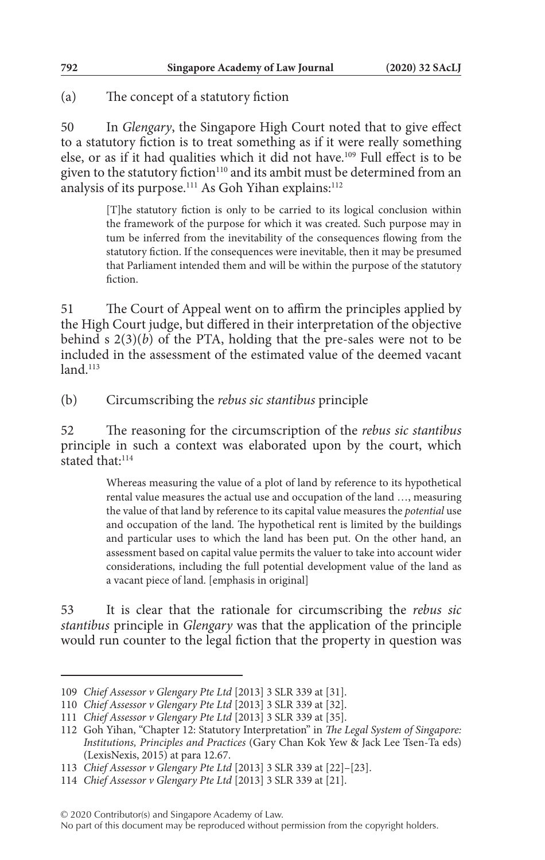## (a) The concept of a statutory fiction

50 In *Glengary*, the Singapore High Court noted that to give effect to a statutory fiction is to treat something as if it were really something else, or as if it had qualities which it did not have.109 Full effect is to be given to the statutory fiction<sup>110</sup> and its ambit must be determined from an analysis of its purpose.<sup>111</sup> As Goh Yihan explains:<sup>112</sup>

> [T]he statutory fiction is only to be carried to its logical conclusion within the framework of the purpose for which it was created. Such purpose may in tum be inferred from the inevitability of the consequences flowing from the statutory fiction. If the consequences were inevitable, then it may be presumed that Parliament intended them and will be within the purpose of the statutory fiction.

51 The Court of Appeal went on to affirm the principles applied by the High Court judge, but differed in their interpretation of the objective behind s  $2(3)(b)$  of the PTA, holding that the pre-sales were not to be included in the assessment of the estimated value of the deemed vacant  $land$ <sup>113</sup>

(b) Circumscribing the *rebus sic stantibus* principle

52 The reasoning for the circumscription of the *rebus sic stantibus* principle in such a context was elaborated upon by the court, which stated that:<sup>114</sup>

> Whereas measuring the value of a plot of land by reference to its hypothetical rental value measures the actual use and occupation of the land …, measuring the value of that land by reference to its capital value measures the *potential* use and occupation of the land. The hypothetical rent is limited by the buildings and particular uses to which the land has been put. On the other hand, an assessment based on capital value permits the valuer to take into account wider considerations, including the full potential development value of the land as a vacant piece of land. [emphasis in original]

53 It is clear that the rationale for circumscribing the *rebus sic stantibus* principle in *Glengary* was that the application of the principle would run counter to the legal fiction that the property in question was

<sup>109</sup> *Chief Assessor v Glengary Pte Ltd* [2013] 3 SLR 339 at [31].

<sup>110</sup> *Chief Assessor v Glengary Pte Ltd* [2013] 3 SLR 339 at [32].

<sup>111</sup> *Chief Assessor v Glengary Pte Ltd* [2013] 3 SLR 339 at [35].

<sup>112</sup> Goh Yihan, "Chapter 12: Statutory Interpretation" in *The Legal System of Singapore: Institutions, Principles and Practices* (Gary Chan Kok Yew & Jack Lee Tsen-Ta eds) (LexisNexis, 2015) at para 12.67.

<sup>113</sup> *Chief Assessor v Glengary Pte Ltd* [2013] 3 SLR 339 at [22]–[23].

<sup>114</sup> *Chief Assessor v Glengary Pte Ltd* [2013] 3 SLR 339 at [21].

No part of this document may be reproduced without permission from the copyright holders.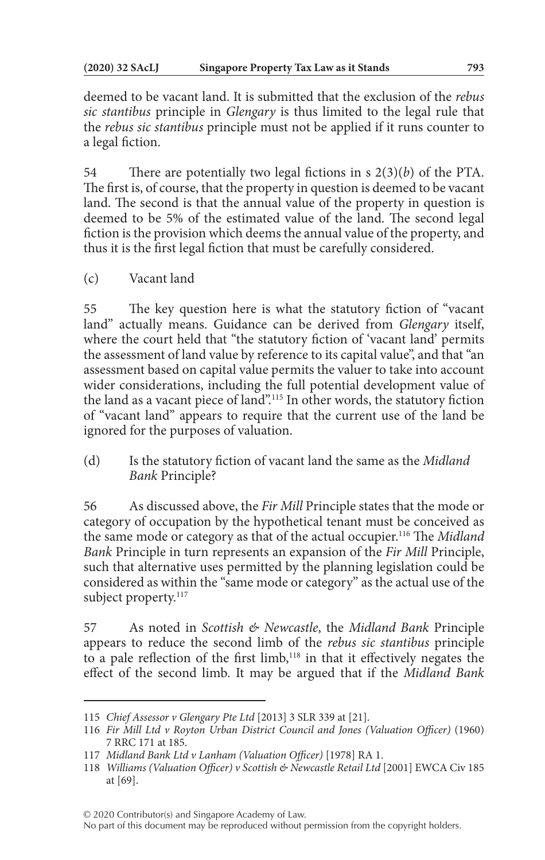deemed to be vacant land. It is submitted that the exclusion of the *rebus sic stantibus* principle in *Glengary* is thus limited to the legal rule that the *rebus sic stantibus* principle must not be applied if it runs counter to a legal fiction.

54 There are potentially two legal fictions in s 2(3)(*b*) of the PTA. The first is, of course, that the property in question is deemed to be vacant land. The second is that the annual value of the property in question is deemed to be 5% of the estimated value of the land. The second legal fiction is the provision which deems the annual value of the property, and thus it is the first legal fiction that must be carefully considered.

(c) Vacant land

55 The key question here is what the statutory fiction of "vacant land" actually means. Guidance can be derived from *Glengary* itself, where the court held that "the statutory fiction of 'vacant land' permits the assessment of land value by reference to its capital value", and that "an assessment based on capital value permits the valuer to take into account wider considerations, including the full potential development value of the land as a vacant piece of land".115 In other words, the statutory fiction of "vacant land" appears to require that the current use of the land be ignored for the purposes of valuation.

(d) Is the statutory fiction of vacant land the same as the *Midland Bank* Principle?

56 As discussed above, the *Fir Mill* Principle states that the mode or category of occupation by the hypothetical tenant must be conceived as the same mode or category as that of the actual occupier.116 The *Midland Bank* Principle in turn represents an expansion of the *Fir Mill* Principle, such that alternative uses permitted by the planning legislation could be considered as within the "same mode or category" as the actual use of the subject property.<sup>117</sup>

57 As noted in *Scottish & Newcastle*, the *Midland Bank* Principle appears to reduce the second limb of the *rebus sic stantibus* principle to a pale reflection of the first limb,<sup>118</sup> in that it effectively negates the effect of the second limb. It may be argued that if the *Midland Bank*

<sup>115</sup> *Chief Assessor v Glengary Pte Ltd* [2013] 3 SLR 339 at [21].

<sup>116</sup> *Fir Mill Ltd v Royton Urban District Council and Jones (Valuation Officer)* (1960) 7 RRC 171 at 185.

<sup>117</sup> *Midland Bank Ltd v Lanham (Valuation Officer)* [1978] RA 1.

<sup>118</sup> *Williams (Valuation Officer) v Scottish & Newcastle Retail Ltd* [2001] EWCA Civ 185 at [69].

No part of this document may be reproduced without permission from the copyright holders.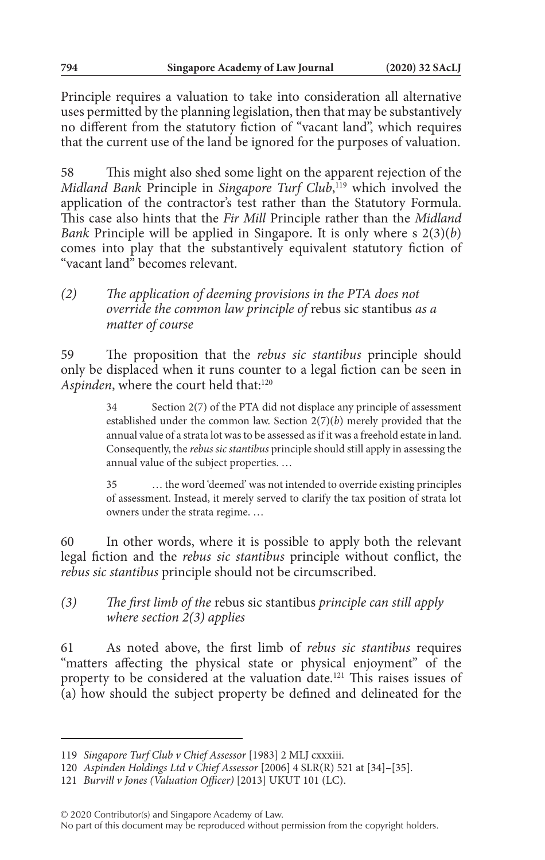Principle requires a valuation to take into consideration all alternative uses permitted by the planning legislation, then that may be substantively no different from the statutory fiction of "vacant land", which requires that the current use of the land be ignored for the purposes of valuation.

58 This might also shed some light on the apparent rejection of the *Midland Bank* Principle in *Singapore Turf Club*, 119 which involved the application of the contractor's test rather than the Statutory Formula. This case also hints that the *Fir Mill* Principle rather than the *Midland Bank* Principle will be applied in Singapore. It is only where s 2(3)(*b*) comes into play that the substantively equivalent statutory fiction of "vacant land" becomes relevant.

## *(2) The application of deeming provisions in the PTA does not override the common law principle of* rebus sic stantibus *as a matter of course*

59 The proposition that the *rebus sic stantibus* principle should only be displaced when it runs counter to a legal fiction can be seen in Aspinden, where the court held that:<sup>120</sup>

> 34 Section 2(7) of the PTA did not displace any principle of assessment established under the common law. Section 2(7)(*b*) merely provided that the annual value of a strata lot was to be assessed as if it was a freehold estate in land. Consequently, the *rebus sic stantibus* principle should still apply in assessing the annual value of the subject properties. …

> 35 … the word 'deemed' was not intended to override existing principles of assessment. Instead, it merely served to clarify the tax position of strata lot owners under the strata regime. …

60 In other words, where it is possible to apply both the relevant legal fiction and the *rebus sic stantibus* principle without conflict, the *rebus sic stantibus* principle should not be circumscribed.

# *(3) The first limb of the* rebus sic stantibus *principle can still apply where section 2(3) applies*

61 As noted above, the first limb of *rebus sic stantibus* requires "matters affecting the physical state or physical enjoyment" of the property to be considered at the valuation date.121 This raises issues of (a) how should the subject property be defined and delineated for the

<sup>119</sup> *Singapore Turf Club v Chief Assessor* [1983] 2 MLJ cxxxiii.

<sup>120</sup> *Aspinden Holdings Ltd v Chief Assessor* [2006] 4 SLR(R) 521 at [34]–[35].

<sup>121</sup> *Burvill v Jones (Valuation Officer)* [2013] UKUT 101 (LC).

No part of this document may be reproduced without permission from the copyright holders.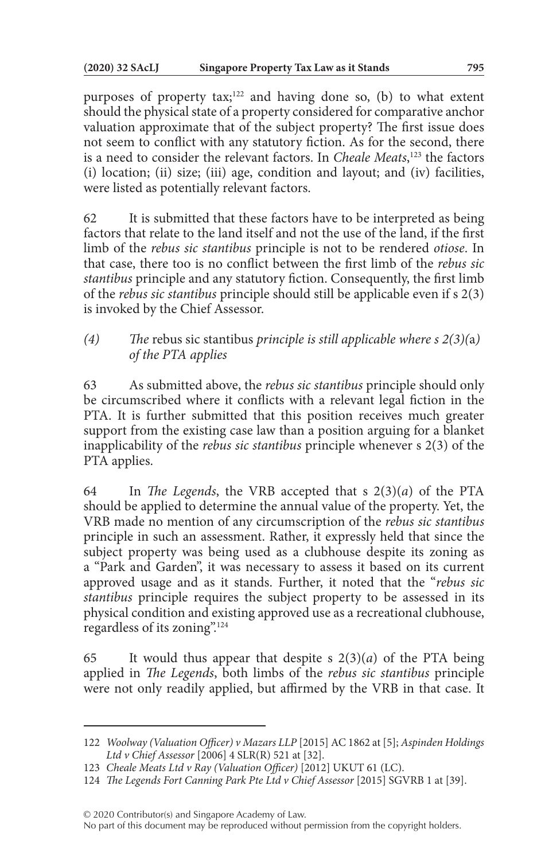purposes of property tax;<sup>122</sup> and having done so, (b) to what extent should the physical state of a property considered for comparative anchor valuation approximate that of the subject property? The first issue does not seem to conflict with any statutory fiction. As for the second, there is a need to consider the relevant factors. In *Cheale Meats*, 123 the factors (i) location; (ii) size; (iii) age, condition and layout; and (iv) facilities, were listed as potentially relevant factors.

62 It is submitted that these factors have to be interpreted as being factors that relate to the land itself and not the use of the land, if the first limb of the *rebus sic stantibus* principle is not to be rendered *otiose*. In that case, there too is no conflict between the first limb of the *rebus sic stantibus* principle and any statutory fiction. Consequently, the first limb of the *rebus sic stantibus* principle should still be applicable even if s 2(3) is invoked by the Chief Assessor.

*(4) The* rebus sic stantibus *principle is still applicable where s 2(3)(*a*) of the PTA applies*

63 As submitted above, the *rebus sic stantibus* principle should only be circumscribed where it conflicts with a relevant legal fiction in the PTA. It is further submitted that this position receives much greater support from the existing case law than a position arguing for a blanket inapplicability of the *rebus sic stantibus* principle whenever s 2(3) of the PTA applies.

64 In *The Legends*, the VRB accepted that s 2(3)(*a*) of the PTA should be applied to determine the annual value of the property. Yet, the VRB made no mention of any circumscription of the *rebus sic stantibus* principle in such an assessment. Rather, it expressly held that since the subject property was being used as a clubhouse despite its zoning as a "Park and Garden", it was necessary to assess it based on its current approved usage and as it stands. Further, it noted that the "*rebus sic stantibus* principle requires the subject property to be assessed in its physical condition and existing approved use as a recreational clubhouse, regardless of its zoning".124

65 It would thus appear that despite s  $2(3)(a)$  of the PTA being applied in *The Legends*, both limbs of the *rebus sic stantibus* principle were not only readily applied, but affirmed by the VRB in that case. It

<sup>122</sup> *Woolway (Valuation Officer) v Mazars LLP* [2015] AC 1862 at [5]; *Aspinden Holdings Ltd v Chief Assessor* [2006] 4 SLR(R) 521 at [32].

<sup>123</sup> *Cheale Meats Ltd v Ray (Valuation Officer)* [2012] UKUT 61 (LC).

<sup>124</sup> *The Legends Fort Canning Park Pte Ltd v Chief Assessor* [2015] SGVRB 1 at [39].

No part of this document may be reproduced without permission from the copyright holders.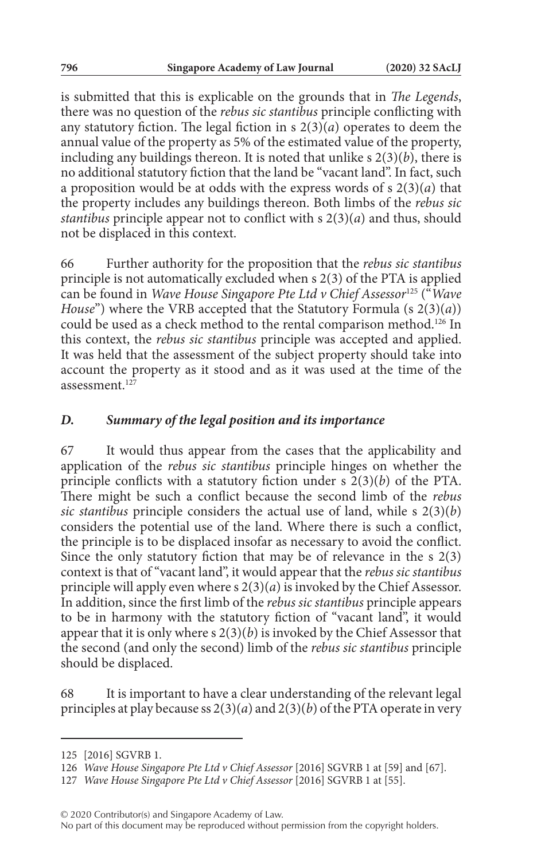is submitted that this is explicable on the grounds that in *The Legends*, there was no question of the *rebus sic stantibus* principle conflicting with any statutory fiction. The legal fiction in  $s$   $2(3)(a)$  operates to deem the annual value of the property as 5% of the estimated value of the property, including any buildings thereon. It is noted that unlike s 2(3)(*b*), there is no additional statutory fiction that the land be "vacant land". In fact, such a proposition would be at odds with the express words of s 2(3)(*a*) that the property includes any buildings thereon. Both limbs of the *rebus sic stantibus* principle appear not to conflict with s 2(3)(*a*) and thus, should not be displaced in this context.

66 Further authority for the proposition that the *rebus sic stantibus* principle is not automatically excluded when s 2(3) of the PTA is applied can be found in *Wave House Singapore Pte Ltd v Chief Assessor*125 ("*Wave House*") where the VRB accepted that the Statutory Formula (s 2(3)(*a*)) could be used as a check method to the rental comparison method.126 In this context, the *rebus sic stantibus* principle was accepted and applied. It was held that the assessment of the subject property should take into account the property as it stood and as it was used at the time of the assessment $12\overline{7}$ 

#### *D. Summary of the legal position and its importance*

67 It would thus appear from the cases that the applicability and application of the *rebus sic stantibus* principle hinges on whether the principle conflicts with a statutory fiction under s 2(3)(*b*) of the PTA. There might be such a conflict because the second limb of the *rebus sic stantibus* principle considers the actual use of land, while s 2(3)(*b*) considers the potential use of the land. Where there is such a conflict, the principle is to be displaced insofar as necessary to avoid the conflict. Since the only statutory fiction that may be of relevance in the s 2(3) context is that of "vacant land", it would appear that the *rebus sic stantibus* principle will apply even where s 2(3)(*a*) is invoked by the Chief Assessor. In addition, since the first limb of the *rebus sic stantibus* principle appears to be in harmony with the statutory fiction of "vacant land", it would appear that it is only where s 2(3)(*b*) is invoked by the Chief Assessor that the second (and only the second) limb of the *rebus sic stantibus* principle should be displaced.

68 It is important to have a clear understanding of the relevant legal principles at play because ss 2(3)(*a*) and 2(3)(*b*) of the PTA operate in very

<sup>125</sup> [2016] SGVRB 1.

<sup>126</sup> *Wave House Singapore Pte Ltd v Chief Assessor* [2016] SGVRB 1 at [59] and [67].

<sup>127</sup> *Wave House Singapore Pte Ltd v Chief Assessor* [2016] SGVRB 1 at [55].

No part of this document may be reproduced without permission from the copyright holders.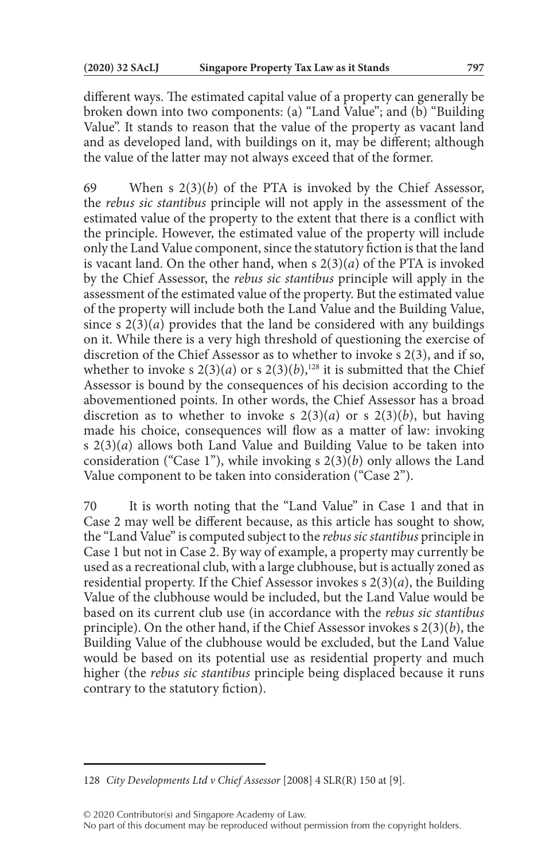different ways. The estimated capital value of a property can generally be broken down into two components: (a) "Land Value"; and (b) "Building Value". It stands to reason that the value of the property as vacant land and as developed land, with buildings on it, may be different; although the value of the latter may not always exceed that of the former.

69 When s 2(3)(*b*) of the PTA is invoked by the Chief Assessor, the *rebus sic stantibus* principle will not apply in the assessment of the estimated value of the property to the extent that there is a conflict with the principle. However, the estimated value of the property will include only the Land Value component, since the statutory fiction is that the land is vacant land. On the other hand, when s 2(3)(*a*) of the PTA is invoked by the Chief Assessor, the *rebus sic stantibus* principle will apply in the assessment of the estimated value of the property. But the estimated value of the property will include both the Land Value and the Building Value, since s  $2(3)(a)$  provides that the land be considered with any buildings on it. While there is a very high threshold of questioning the exercise of discretion of the Chief Assessor as to whether to invoke s 2(3), and if so, whether to invoke s  $2(3)(a)$  or s  $2(3)(b)$ ,<sup>128</sup> it is submitted that the Chief Assessor is bound by the consequences of his decision according to the abovementioned points. In other words, the Chief Assessor has a broad discretion as to whether to invoke s  $2(3)(a)$  or s  $2(3)(b)$ , but having made his choice, consequences will flow as a matter of law: invoking s 2(3)(*a*) allows both Land Value and Building Value to be taken into consideration ("Case 1"), while invoking s 2(3)(*b*) only allows the Land Value component to be taken into consideration ("Case 2").

70 It is worth noting that the "Land Value" in Case 1 and that in Case 2 may well be different because, as this article has sought to show, the "Land Value" is computed subject to the *rebus sic stantibus* principle in Case 1 but not in Case 2. By way of example, a property may currently be used as a recreational club, with a large clubhouse, but is actually zoned as residential property. If the Chief Assessor invokes s 2(3)(*a*), the Building Value of the clubhouse would be included, but the Land Value would be based on its current club use (in accordance with the *rebus sic stantibus* principle). On the other hand, if the Chief Assessor invokes s 2(3)(*b*), the Building Value of the clubhouse would be excluded, but the Land Value would be based on its potential use as residential property and much higher (the *rebus sic stantibus* principle being displaced because it runs contrary to the statutory fiction).

<sup>128</sup> *City Developments Ltd v Chief Assessor* [2008] 4 SLR(R) 150 at [9].

No part of this document may be reproduced without permission from the copyright holders.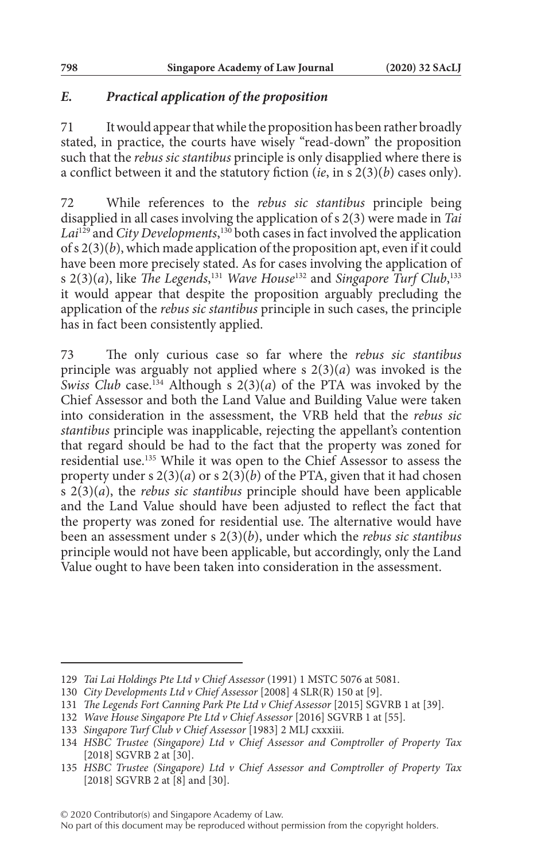## *E. Practical application of the proposition*

71 It would appear that while the proposition has been rather broadly stated, in practice, the courts have wisely "read-down" the proposition such that the *rebus sic stantibus* principle is only disapplied where there is a conflict between it and the statutory fiction (*ie*, in s 2(3)(*b*) cases only).

72 While references to the *rebus sic stantibus* principle being disapplied in all cases involving the application of s 2(3) were made in *Tai Lai*129 and *City Developments*, 130 both cases in fact involved the application of s 2(3)(*b*), which made application of the proposition apt, even if it could have been more precisely stated. As for cases involving the application of s 2(3)(*a*), like *The Legends*, <sup>131</sup> *Wave House*132 and *Singapore Turf Club*, 133 it would appear that despite the proposition arguably precluding the application of the *rebus sic stantibus* principle in such cases, the principle has in fact been consistently applied.

73 The only curious case so far where the *rebus sic stantibus* principle was arguably not applied where s 2(3)(*a*) was invoked is the *Swiss Club* case.<sup>134</sup> Although s  $2(3)(a)$  of the PTA was invoked by the Chief Assessor and both the Land Value and Building Value were taken into consideration in the assessment, the VRB held that the *rebus sic stantibus* principle was inapplicable, rejecting the appellant's contention that regard should be had to the fact that the property was zoned for residential use.135 While it was open to the Chief Assessor to assess the property under s 2(3)(*a*) or s 2(3)(*b*) of the PTA, given that it had chosen s 2(3)(*a*), the *rebus sic stantibus* principle should have been applicable and the Land Value should have been adjusted to reflect the fact that the property was zoned for residential use. The alternative would have been an assessment under s 2(3)(*b*), under which the *rebus sic stantibus* principle would not have been applicable, but accordingly, only the Land Value ought to have been taken into consideration in the assessment.

<sup>129</sup> *Tai Lai Holdings Pte Ltd v Chief Assessor* (1991) 1 MSTC 5076 at 5081.

<sup>130</sup> *City Developments Ltd v Chief Assessor* [2008] 4 SLR(R) 150 at [9].

<sup>131</sup> *The Legends Fort Canning Park Pte Ltd v Chief Assessor* [2015] SGVRB 1 at [39].

<sup>132</sup> *Wave House Singapore Pte Ltd v Chief Assessor* [2016] SGVRB 1 at [55].

<sup>133</sup> *Singapore Turf Club v Chief Assessor* [1983] 2 MLJ cxxxiii.

<sup>134</sup> *HSBC Trustee (Singapore) Ltd v Chief Assessor and Comptroller of Property Tax* [2018] SGVRB 2 at [30].

<sup>135</sup> *HSBC Trustee (Singapore) Ltd v Chief Assessor and Comptroller of Property Tax* [2018] SGVRB 2 at [8] and [30].

<sup>© 2020</sup> Contributor(s) and Singapore Academy of Law.

No part of this document may be reproduced without permission from the copyright holders.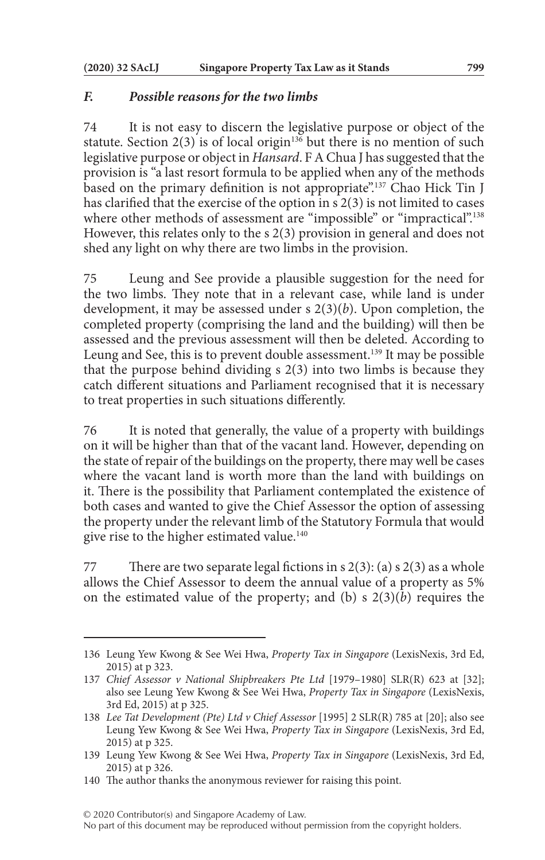## *F. Possible reasons for the two limbs*

74 It is not easy to discern the legislative purpose or object of the statute. Section  $2(3)$  is of local origin<sup>136</sup> but there is no mention of such legislative purpose or object in *Hansard*. F A Chua J has suggested that the provision is "a last resort formula to be applied when any of the methods based on the primary definition is not appropriate".<sup>137</sup> Chao Hick Tin J has clarified that the exercise of the option in s 2(3) is not limited to cases where other methods of assessment are "impossible" or "impractical".<sup>138</sup> However, this relates only to the s 2(3) provision in general and does not shed any light on why there are two limbs in the provision.

75 Leung and See provide a plausible suggestion for the need for the two limbs. They note that in a relevant case, while land is under development, it may be assessed under s 2(3)(*b*). Upon completion, the completed property (comprising the land and the building) will then be assessed and the previous assessment will then be deleted. According to Leung and See, this is to prevent double assessment.<sup>139</sup> It may be possible that the purpose behind dividing s 2(3) into two limbs is because they catch different situations and Parliament recognised that it is necessary to treat properties in such situations differently.

76 It is noted that generally, the value of a property with buildings on it will be higher than that of the vacant land. However, depending on the state of repair of the buildings on the property, there may well be cases where the vacant land is worth more than the land with buildings on it. There is the possibility that Parliament contemplated the existence of both cases and wanted to give the Chief Assessor the option of assessing the property under the relevant limb of the Statutory Formula that would give rise to the higher estimated value.<sup>140</sup>

77 There are two separate legal fictions in s  $2(3)$ : (a) s  $2(3)$  as a whole allows the Chief Assessor to deem the annual value of a property as 5% on the estimated value of the property; and (b) s 2(3)(*b*) requires the

© 2020 Contributor(s) and Singapore Academy of Law.

No part of this document may be reproduced without permission from the copyright holders.

<sup>136</sup> Leung Yew Kwong & See Wei Hwa, *Property Tax in Singapore* (LexisNexis, 3rd Ed, 2015) at p 323.

<sup>137</sup> *Chief Assessor v National Shipbreakers Pte Ltd* [1979–1980] SLR(R) 623 at [32]; also see Leung Yew Kwong & See Wei Hwa, *Property Tax in Singapore* (LexisNexis, 3rd Ed, 2015) at p 325.

<sup>138</sup> *Lee Tat Development (Pte) Ltd v Chief Assessor* [1995] 2 SLR(R) 785 at [20]; also see Leung Yew Kwong & See Wei Hwa, *Property Tax in Singapore* (LexisNexis, 3rd Ed, 2015) at p 325.

<sup>139</sup> Leung Yew Kwong & See Wei Hwa, *Property Tax in Singapore* (LexisNexis, 3rd Ed, 2015) at p 326.

<sup>140</sup> The author thanks the anonymous reviewer for raising this point.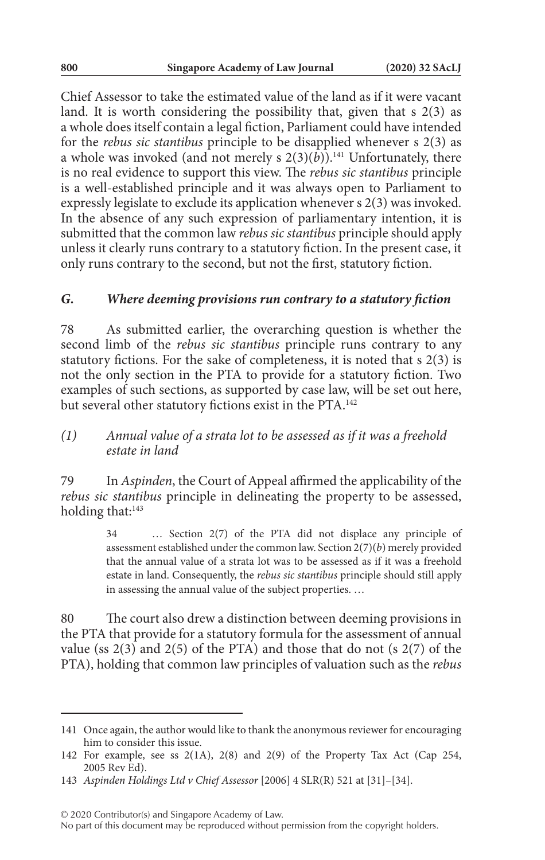Chief Assessor to take the estimated value of the land as if it were vacant land. It is worth considering the possibility that, given that  $s$  2(3) as a whole does itself contain a legal fiction, Parliament could have intended for the *rebus sic stantibus* principle to be disapplied whenever s 2(3) as a whole was invoked (and not merely s  $2(3)(\overrightarrow{b})$ ).<sup>141</sup> Unfortunately, there is no real evidence to support this view. The *rebus sic stantibus* principle is a well-established principle and it was always open to Parliament to expressly legislate to exclude its application whenever s 2(3) was invoked. In the absence of any such expression of parliamentary intention, it is submitted that the common law *rebus sic stantibus* principle should apply unless it clearly runs contrary to a statutory fiction. In the present case, it only runs contrary to the second, but not the first, statutory fiction.

#### *G. Where deeming provisions run contrary to a statutory fiction*

78 As submitted earlier, the overarching question is whether the second limb of the *rebus sic stantibus* principle runs contrary to any statutory fictions. For the sake of completeness, it is noted that s 2(3) is not the only section in the PTA to provide for a statutory fiction. Two examples of such sections, as supported by case law, will be set out here, but several other statutory fictions exist in the PTA.142

## *(1) Annual value of a strata lot to be assessed as if it was a freehold estate in land*

79 In *Aspinden*, the Court of Appeal affirmed the applicability of the *rebus sic stantibus* principle in delineating the property to be assessed, holding that:<sup>143</sup>

> 34 … Section 2(7) of the PTA did not displace any principle of assessment established under the common law. Section 2(7)(*b*) merely provided that the annual value of a strata lot was to be assessed as if it was a freehold estate in land. Consequently, the *rebus sic stantibus* principle should still apply in assessing the annual value of the subject properties. …

80 The court also drew a distinction between deeming provisions in the PTA that provide for a statutory formula for the assessment of annual value (ss  $2(3)$  and  $2(5)$  of the PTA) and those that do not (s  $2(7)$  of the PTA), holding that common law principles of valuation such as the *rebus* 

<sup>141</sup> Once again, the author would like to thank the anonymous reviewer for encouraging him to consider this issue.

<sup>142</sup> For example, see ss 2(1A), 2(8) and 2(9) of the Property Tax Act (Cap 254, 2005 Rev Ed).

<sup>143</sup> *Aspinden Holdings Ltd v Chief Assessor* [2006] 4 SLR(R) 521 at [31]–[34].

No part of this document may be reproduced without permission from the copyright holders.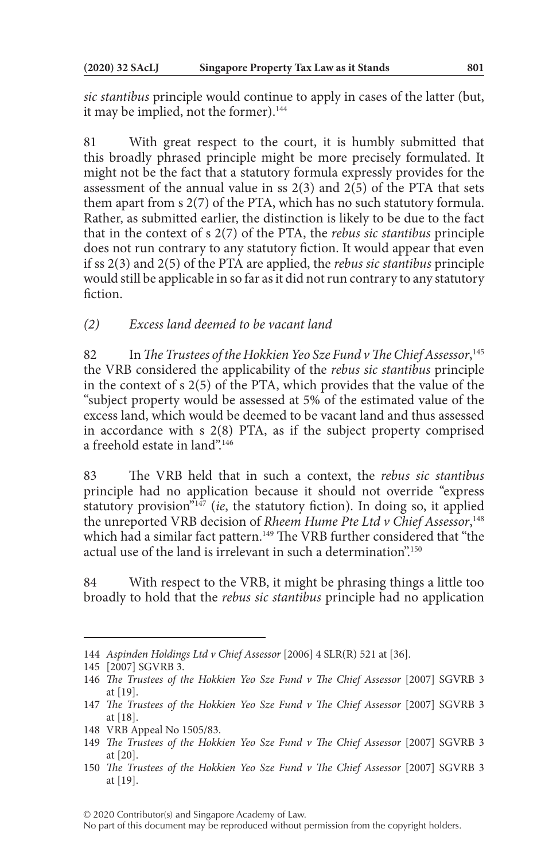*sic stantibus* principle would continue to apply in cases of the latter (but, it may be implied, not the former).<sup>144</sup>

81 With great respect to the court, it is humbly submitted that this broadly phrased principle might be more precisely formulated. It might not be the fact that a statutory formula expressly provides for the assessment of the annual value in ss  $2(3)$  and  $2(5)$  of the PTA that sets them apart from s 2(7) of the PTA, which has no such statutory formula. Rather, as submitted earlier, the distinction is likely to be due to the fact that in the context of s 2(7) of the PTA, the *rebus sic stantibus* principle does not run contrary to any statutory fiction. It would appear that even if ss 2(3) and 2(5) of the PTA are applied, the *rebus sic stantibus* principle would still be applicable in so far as it did not run contrary to any statutory fiction.

*(2) Excess land deemed to be vacant land*

82 In *The Trustees of the Hokkien Yeo Sze Fund v The Chief Assessor*, 145 the VRB considered the applicability of the *rebus sic stantibus* principle in the context of s 2(5) of the PTA, which provides that the value of the "subject property would be assessed at 5% of the estimated value of the excess land, which would be deemed to be vacant land and thus assessed in accordance with s 2(8) PTA, as if the subject property comprised a freehold estate in land".146

83 The VRB held that in such a context, the *rebus sic stantibus* principle had no application because it should not override "express statutory provision<sup>"147</sup> (*ie*, the statutory fiction). In doing so, it applied the unreported VRB decision of *Rheem Hume Pte Ltd v Chief Assessor*, 148 which had a similar fact pattern.<sup>149</sup> The VRB further considered that "the actual use of the land is irrelevant in such a determination".150

84 With respect to the VRB, it might be phrasing things a little too broadly to hold that the *rebus sic stantibus* principle had no application

<sup>144</sup> *Aspinden Holdings Ltd v Chief Assessor* [2006] 4 SLR(R) 521 at [36].

<sup>145</sup> [2007] SGVRB 3.

<sup>146</sup> *The Trustees of the Hokkien Yeo Sze Fund v The Chief Assessor* [2007] SGVRB 3 at [19].

<sup>147</sup> *The Trustees of the Hokkien Yeo Sze Fund v The Chief Assessor* [2007] SGVRB 3 at [18].

<sup>148</sup> VRB Appeal No 1505/83.

<sup>149</sup> *The Trustees of the Hokkien Yeo Sze Fund v The Chief Assessor* [2007] SGVRB 3 at [20].

<sup>150</sup> *The Trustees of the Hokkien Yeo Sze Fund v The Chief Assessor* [2007] SGVRB 3 at [19].

<sup>© 2020</sup> Contributor(s) and Singapore Academy of Law.

No part of this document may be reproduced without permission from the copyright holders.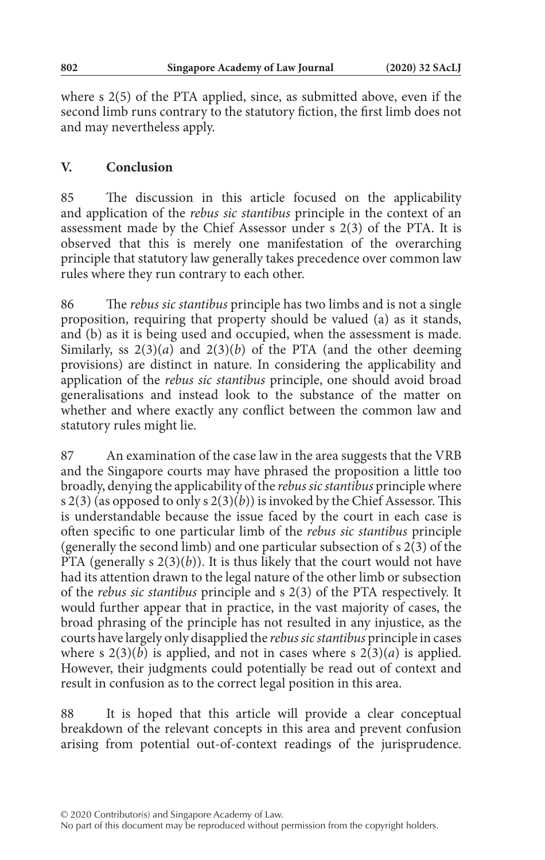where s 2(5) of the PTA applied, since, as submitted above, even if the second limb runs contrary to the statutory fiction, the first limb does not and may nevertheless apply.

## **V. Conclusion**

85 The discussion in this article focused on the applicability and application of the *rebus sic stantibus* principle in the context of an assessment made by the Chief Assessor under s 2(3) of the PTA. It is observed that this is merely one manifestation of the overarching principle that statutory law generally takes precedence over common law rules where they run contrary to each other.

86 The *rebus sic stantibus* principle has two limbs and is not a single proposition, requiring that property should be valued (a) as it stands, and (b) as it is being used and occupied, when the assessment is made. Similarly, ss  $2(3)(a)$  and  $2(3)(b)$  of the PTA (and the other deeming provisions) are distinct in nature. In considering the applicability and application of the *rebus sic stantibus* principle, one should avoid broad generalisations and instead look to the substance of the matter on whether and where exactly any conflict between the common law and statutory rules might lie.

87 An examination of the case law in the area suggests that the VRB and the Singapore courts may have phrased the proposition a little too broadly, denying the applicability of the *rebus sic stantibus* principle where s 2(3) (as opposed to only s 2(3)(*b*)) is invoked by the Chief Assessor. This is understandable because the issue faced by the court in each case is often specific to one particular limb of the *rebus sic stantibus* principle (generally the second limb) and one particular subsection of s 2(3) of the PTA (generally  $s$   $2(3)(b)$ ). It is thus likely that the court would not have had its attention drawn to the legal nature of the other limb or subsection of the *rebus sic stantibus* principle and s 2(3) of the PTA respectively. It would further appear that in practice, in the vast majority of cases, the broad phrasing of the principle has not resulted in any injustice, as the courts have largely only disapplied the *rebus sic stantibus* principle in cases where s  $2(3)(b)$  is applied, and not in cases where s  $2(3)(a)$  is applied. However, their judgments could potentially be read out of context and result in confusion as to the correct legal position in this area.

88 It is hoped that this article will provide a clear conceptual breakdown of the relevant concepts in this area and prevent confusion arising from potential out-of-context readings of the jurisprudence.